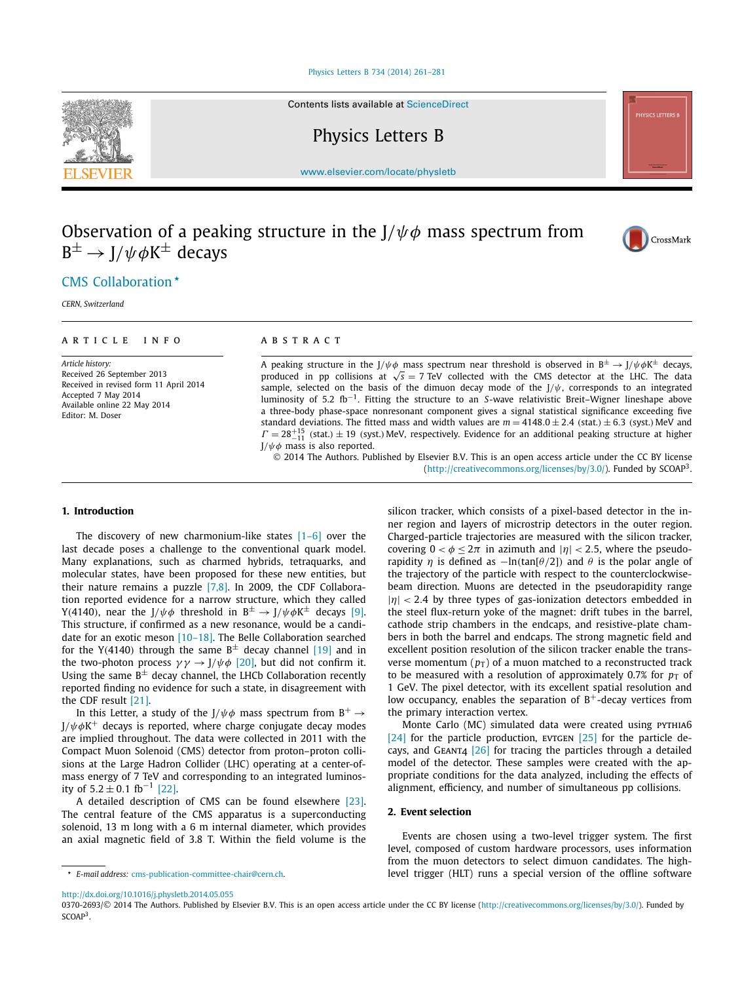#### [Physics Letters B 734 \(2014\) 261–281](http://dx.doi.org/10.1016/j.physletb.2014.05.055)

Contents lists available at [ScienceDirect](http://www.ScienceDirect.com/)

Physics Letters B

[www.elsevier.com/locate/physletb](http://www.elsevier.com/locate/physletb)

# Observation of a peaking structure in the J*/ψφ* mass spectrum from  $B^{\pm} \rightarrow I/\psi \phi K^{\pm}$  decays



# .CMS [Collaboration](#page-6-0)

*CERN, Switzerland*

#### A R T I C L E I N F O A B S T R A C T

*Article history:* Received 26 September 2013 Received in revised form 11 April 2014 Accepted 7 May 2014 Available online 22 May 2014 Editor: M. Doser

A peaking structure in the J/ $\psi\phi$  mass spectrum near threshold is observed in  $B^{\pm} \to J/\psi \phi K^{\pm}$  decays, produced in pp collisions at <sup>√</sup>*<sup>s</sup>* <sup>=</sup> 7 TeV collected with the CMS detector at the LHC. The data sample, selected on the basis of the dimuon decay mode of the  $J/\psi$ , corresponds to an integrated luminosity of 5.2 fb<sup>−</sup>1. Fitting the structure to an *S*-wave relativistic Breit–Wigner lineshape above a three-body phase-space nonresonant component gives a signal statistical significance exceeding five standard deviations. The fitted mass and width values are  $m = 4148.0 \pm 2.4$  (stat.)  $\pm$  6.3 (syst.) MeV and *Γ* = 28<sup>+15</sup> (stat.) ± 19 *(syst.)* MeV, respectively. Evidence for an additional peaking structure at higher *L L L n* man is also greented.  $J/\psi\phi$  mass is also reported.

© 2014 The Authors. Published by Elsevier B.V. This is an open access article under the CC BY license [\(http://creativecommons.org/licenses/by/3.0/\)](http://creativecommons.org/licenses/by/3.0/). Funded by  $SCOAP<sup>3</sup>$ .

#### **1. Introduction**

The discovery of new charmonium-like states  $[1-6]$  over the last decade poses a challenge to the conventional quark model. Many explanations, such as charmed hybrids, tetraquarks, and molecular states, have been proposed for these new entities, but their nature remains a puzzle [\[7,8\].](#page-5-0) In 2009, the CDF Collaboration reported evidence for a narrow structure, which they called *Y*(4140), near the *J*/ $\psi \phi$  threshold in B<sup> $\pm$ </sup>  $\rightarrow$  *J*/ $\psi \phi$ K<sup> $\pm$ </sup> decays [\[9\].](#page-5-0) This structure, if confirmed as a new resonance, would be a candidate for an exotic meson [\[10–18\].](#page-5-0) The Belle Collaboration searched for the Y(4140) through the same  $B^{\pm}$  decay channel [\[19\]](#page-5-0) and in the two-photon process  $\gamma \gamma \rightarrow J/\psi \phi$  [\[20\],](#page-6-0) but did not confirm it. Using the same  $B^{\pm}$  decay channel, the LHCb Collaboration recently reported finding no evidence for such a state, in disagreement with the CDF result [\[21\].](#page-6-0)

In this Letter, a study of the  $J/\psi \phi$  mass spectrum from B<sup>+</sup>  $\rightarrow$  $J/\psi \phi K^+$  decays is reported, where charge conjugate decay modes are implied throughout. The data were collected in 2011 with the Compact Muon Solenoid (CMS) detector from proton–proton collisions at the Large Hadron Collider (LHC) operating at a center-ofmass energy of 7 TeV and corresponding to an integrated luminosity of  $5.2 \pm 0.1$  fb<sup>-1</sup> [\[22\].](#page-6-0)

A detailed description of CMS can be found elsewhere [\[23\].](#page-6-0) The central feature of the CMS apparatus is a superconducting solenoid, 13 m long with a 6 m internal diameter, which provides an axial magnetic field of 3.8 T. Within the field volume is the silicon tracker, which consists of a pixel-based detector in the inner region and layers of microstrip detectors in the outer region. Charged-particle trajectories are measured with the silicon tracker, covering  $0 < \phi \leq 2\pi$  in azimuth and  $|\eta| < 2.5$ , where the pseudorapidity *η* is defined as  $-\ln(\tan(\theta/2))$  and  $\theta$  is the polar angle of the trajectory of the particle with respect to the counterclockwisebeam direction. Muons are detected in the pseudorapidity range  $|n|$  < 2.4 by three types of gas-ionization detectors embedded in the steel flux-return yoke of the magnet: drift tubes in the barrel, cathode strip chambers in the endcaps, and resistive-plate chambers in both the barrel and endcaps. The strong magnetic field and excellent position resolution of the silicon tracker enable the transverse momentum  $(p_T)$  of a muon matched to a reconstructed track to be measured with a resolution of approximately  $0.7\%$  for  $p<sub>T</sub>$  of 1 GeV. The pixel detector, with its excellent spatial resolution and low occupancy, enables the separation of  $B^+$ -decay vertices from the primary interaction vertex.

Monte Carlo (MC) simulated data were created using PYTHIA6  $[24]$  for the particle production, EVTGEN  $[25]$  for the particle decays, and GEANT4  $[26]$  for tracing the particles through a detailed model of the detector. These samples were created with the appropriate conditions for the data analyzed, including the effects of alignment, efficiency, and number of simultaneous pp collisions.

#### **2. Event selection**

Events are chosen using a two-level trigger system. The first level, composed of custom hardware processors, uses information from the muon detectors to select dimuon candidates. The highlevel trigger (HLT) runs a special version of the offline software



*E-mail address:* [cms-publication-committee-chair@cern.ch](mailto:cms-publication-committee-chair@cern.ch).

<http://dx.doi.org/10.1016/j.physletb.2014.05.055>

<sup>0370-2693/© 2014</sup> The Authors. Published by Elsevier B.V. This is an open access article under the CC BY license [\(http://creativecommons.org/licenses/by/3.0/\)](http://creativecommons.org/licenses/by/3.0/). Funded by SCOAP<sup>3</sup>.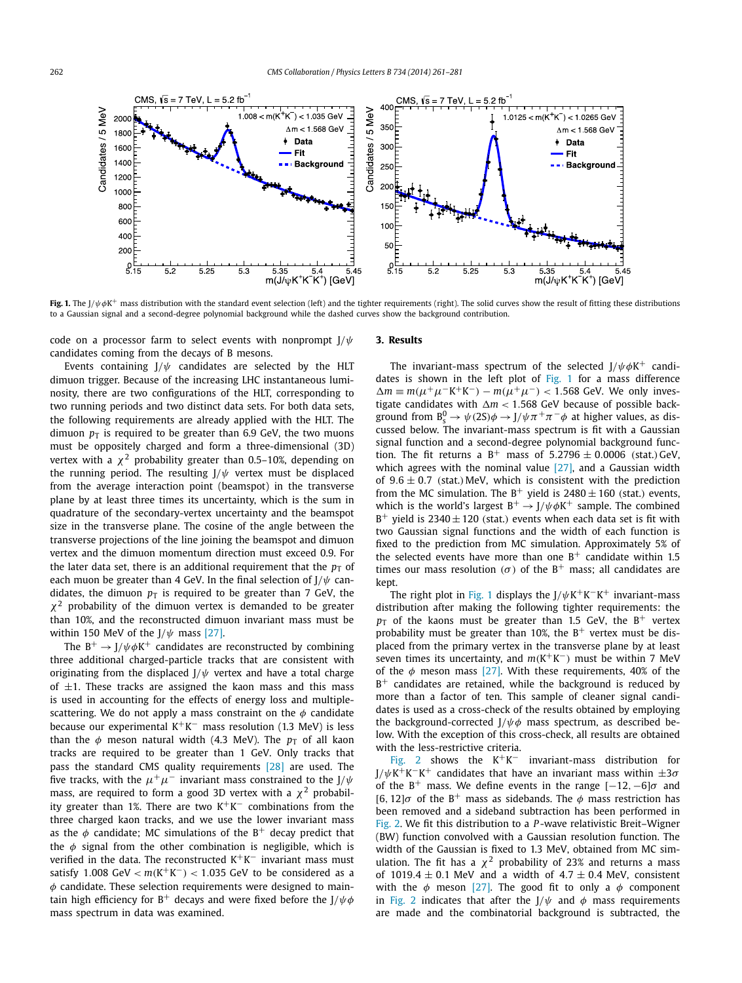<span id="page-1-0"></span>

**Fig. 1.** The  $J/\psi \phi K^+$  mass distribution with the standard event selection (left) and the tighter requirements (right). The solid curves show the result of fitting these distributions to a Gaussian signal and a second-degree polynomial background while the dashed curves show the background contribution.

code on a processor farm to select events with nonprompt J*/ψ* candidates coming from the decays of B mesons.

#### **3. Results**

Events containing J*/ψ* candidates are selected by the HLT dimuon trigger. Because of the increasing LHC instantaneous luminosity, there are two configurations of the HLT, corresponding to two running periods and two distinct data sets. For both data sets, the following requirements are already applied with the HLT. The dimuon  $p<sub>T</sub>$  is required to be greater than 6.9 GeV, the two muons must be oppositely charged and form a three-dimensional (3D) vertex with a  $\chi^2$  probability greater than 0.5–10%, depending on the running period. The resulting J*/ψ* vertex must be displaced from the average interaction point (beamspot) in the transverse plane by at least three times its uncertainty, which is the sum in quadrature of the secondary-vertex uncertainty and the beamspot size in the transverse plane. The cosine of the angle between the transverse projections of the line joining the beamspot and dimuon vertex and the dimuon momentum direction must exceed 0.9. For the later data set, there is an additional requirement that the  $p<sub>T</sub>$  of each muon be greater than 4 GeV. In the final selection of J*/ψ* candidates, the dimuon  $p<sub>T</sub>$  is required to be greater than 7 GeV, the *χ*<sup>2</sup> probability of the dimuon vertex is demanded to be greater than 10%, and the reconstructed dimuon invariant mass must be within 150 MeV of the J*/ψ* mass [\[27\].](#page-6-0)

The  $B^+ \rightarrow J/\psi \phi K^+$  candidates are reconstructed by combining three additional charged-particle tracks that are consistent with originating from the displaced  $J/\psi$  vertex and have a total charge of  $\pm$ 1. These tracks are assigned the kaon mass and this mass is used in accounting for the effects of energy loss and multiplescattering. We do not apply a mass constraint on the *φ* candidate because our experimental K+K− mass resolution (1.3 MeV) is less than the  $\phi$  meson natural width (4.3 MeV). The  $p_T$  of all kaon tracks are required to be greater than 1 GeV. Only tracks that pass the standard CMS quality requirements [\[28\]](#page-6-0) are used. The five tracks, with the  $\mu^+ \mu^-$  invariant mass constrained to the  $J/\psi$ mass, are required to form a good 3D vertex with a  $\chi^2$  probability greater than 1%. There are two  $K^+K^-$  combinations from the three charged kaon tracks, and we use the lower invariant mass as the  $\phi$  candidate; MC simulations of the B<sup>+</sup> decay predict that the *φ* signal from the other combination is negligible, which is verified in the data. The reconstructed  $K^+K^-$  invariant mass must satisfy 1.008 GeV  $< m(K^+K^-) < 1.035$  GeV to be considered as a *φ* candidate. These selection requirements were designed to maintain high efficiency for B<sup>+</sup> decays and were fixed before the  $J/\psi \phi$ mass spectrum in data was examined.

The invariant-mass spectrum of the selected J*/ψφ*K+ candidates is shown in the left plot of Fig. 1 for a mass difference  $\Delta m \equiv m(\mu^+ \mu^- K^+ K^-) - m(\mu^+ \mu^-)$  < 1.568 GeV. We only investigate candidates with  $\Delta m < 1.568$  GeV because of possible background from  $B_s^0 \rightarrow \psi(2S)\phi \rightarrow J/\psi \pi^+ \pi^- \phi$  at higher values, as discussed below. The invariant-mass spectrum is fit with a Gaussian signal function and a second-degree polynomial background function. The fit returns a  $B^+$  mass of  $5.2796 \pm 0.0006$  (stat.) GeV, which agrees with the nominal value  $[27]$ , and a Gaussian width of  $9.6 \pm 0.7$  (stat.) MeV, which is consistent with the prediction from the MC simulation. The B<sup>+</sup> yield is  $2480 \pm 160$  (stat.) events, which is the world's largest  $B^+ \rightarrow J/\psi \phi K^+$  sample. The combined  $B^+$  yield is  $2340 \pm 120$  *(stat.)* events when each data set is fit with two Gaussian signal functions and the width of each function is fixed to the prediction from MC simulation. Approximately 5% of the selected events have more than one  $B^+$  candidate within 1.5 times our mass resolution  $(\sigma)$  of the B<sup>+</sup> mass; all candidates are kept.

The right plot in Fig. 1 displays the J*/ψ*K+K−K+ invariant-mass distribution after making the following tighter requirements: the  $p_T$  of the kaons must be greater than 1.5 GeV, the  $B^+$  vertex probability must be greater than 10%, the  $B^+$  vertex must be displaced from the primary vertex in the transverse plane by at least seven times its uncertainty, and  $m(K^+K^-)$  must be within 7 MeV of the  $\phi$  meson mass [\[27\].](#page-6-0) With these requirements, 40% of the  $B^+$  candidates are retained, while the background is reduced by more than a factor of ten. This sample of cleaner signal candidates is used as a cross-check of the results obtained by employing the background-corrected J*/ψφ* mass spectrum, as described below. With the exception of this cross-check, all results are obtained with the less-restrictive criteria.

[Fig. 2](#page-2-0) shows the  $K^+K^-$  invariant-mass distribution for <sup>J</sup>*/ψ*K+K−K<sup>+</sup> candidates that have an invariant mass within ±3*σ* of the B<sup>+</sup> mass. We define events in the range  $[-12, -6]$  $\sigma$  and [6, 12] $\sigma$  of the B<sup>+</sup> mass as sidebands. The  $\phi$  mass restriction has been removed and a sideband subtraction has been performed in [Fig. 2.](#page-2-0) We fit this distribution to a *P* -wave relativistic Breit–Wigner (BW) function convolved with a Gaussian resolution function. The width of the Gaussian is fixed to 1.3 MeV, obtained from MC simulation. The fit has a  $\chi^2$  probability of 23% and returns a mass of 1019.4  $\pm$  0.1 MeV and a width of 4.7  $\pm$  0.4 MeV, consistent with the  $\phi$  meson [\[27\].](#page-6-0) The good fit to only a  $\phi$  component in [Fig. 2](#page-2-0) indicates that after the  $J/\psi$  and  $\phi$  mass requirements are made and the combinatorial background is subtracted, the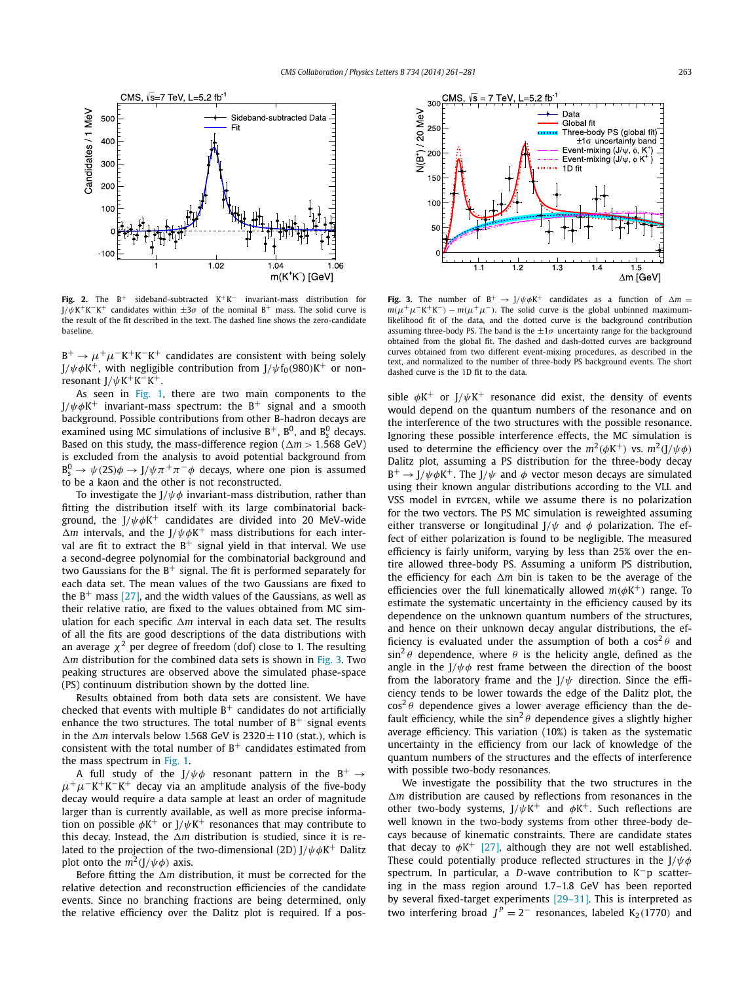<span id="page-2-0"></span>

**Fig. 2.** The B+ sideband-subtracted K+K− invariant-mass distribution for <sup>J</sup>*/ψ*K+K−K<sup>+</sup> candidates within ±3*σ* of the nominal <sup>B</sup><sup>+</sup> mass. The solid curve is the result of the fit described in the text. The dashed line shows the zero-candidate baseline.

 $B^+ \to \mu^+\mu^-K^+K^-K^+$  candidates are consistent with being solely  $J/\psi \phi K^+$ , with negligible contribution from  $J/\psi f_0(980)K^+$  or nonresonant J*/ψ*K+K−K+.

As seen in [Fig. 1,](#page-1-0) there are two main components to the  $J/\psi \phi K^+$  invariant-mass spectrum: the B<sup>+</sup> signal and a smooth background. Possible contributions from other B-hadron decays are examined using MC simulations of inclusive B<sup>+</sup>, B<sup>0</sup>, and B<sub>S</sub> decays. Based on this study, the mass-difference region ( $\Delta m > 1.568$  GeV) is excluded from the analysis to avoid potential background from  $B_c^0$  $\rightarrow \psi(2S)\phi \rightarrow J/\psi \pi^{+}\pi^{-}\phi$  decays, where one pion is assumed to be a kaon and the other is not reconstructed.

To investigate the J*/ψφ* invariant-mass distribution, rather than fitting the distribution itself with its large combinatorial background, the  $I/\psi \phi K^+$  candidates are divided into 20 MeV-wide *m* intervals, and the J*/ψφ*K+ mass distributions for each interval are fit to extract the  $B^+$  signal yield in that interval. We use a second-degree polynomial for the combinatorial background and two Gaussians for the  $B^+$  signal. The fit is performed separately for each data set. The mean values of the two Gaussians are fixed to the  $B^+$  mass [\[27\],](#page-6-0) and the width values of the Gaussians, as well as their relative ratio, are fixed to the values obtained from MC simulation for each specific  $\Delta m$  interval in each data set. The results of all the fits are good descriptions of the data distributions with an average  $\chi^2$  per degree of freedom (dof) close to 1. The resulting  $\Delta m$  distribution for the combined data sets is shown in Fig. 3. Two peaking structures are observed above the simulated phase-space (PS) continuum distribution shown by the dotted line.

Results obtained from both data sets are consistent. We have checked that events with multiple  $B^+$  candidates do not artificially enhance the two structures. The total number of  $B^+$  signal events in the  $\Delta m$  intervals below 1.568 GeV is 2320 $\pm$ 110 *(stat.)*, which is consistent with the total number of  $B^+$  candidates estimated from the mass spectrum in [Fig. 1.](#page-1-0)

A full study of the  $J/\psi \phi$  resonant pattern in the B<sup>+</sup>  $\rightarrow$  $\mu^+\mu^-$ K<sup>+</sup>K<sup>−</sup>K<sup>+</sup> decay via an amplitude analysis of the five-body decay would require a data sample at least an order of magnitude larger than is currently available, as well as more precise information on possible  $\phi K^+$  or  $J/\psi K^+$  resonances that may contribute to this decay. Instead, the  $\Delta m$  distribution is studied, since it is related to the projection of the two-dimensional (2D) J*/ψφ*K+ Dalitz plot onto the  $m^2$ *(J*/ $\psi \phi$ ) axis.

Before fitting the  $\Delta m$  distribution, it must be corrected for the relative detection and reconstruction efficiencies of the candidate events. Since no branching fractions are being determined, only the relative efficiency over the Dalitz plot is required. If a pos-



**Fig. 3.** The number of  $B^+ \rightarrow J/\psi \phi K^+$  candidates as a function of  $\Delta m =$  $m(\mu^+\mu^-K^+K^-) - m(\mu^+\mu^-)$ . The solid curve is the global unbinned maximumlikelihood fit of the data, and the dotted curve is the background contribution assuming three-body PS. The band is the  $\pm 1\sigma$  uncertainty range for the background obtained from the global fit. The dashed and dash-dotted curves are background curves obtained from two different event-mixing procedures, as described in the text, and normalized to the number of three-body PS background events. The short dashed curve is the 1D fit to the data.

sible  $\phi K^+$  or  $J/\psi K^+$  resonance did exist, the density of events would depend on the quantum numbers of the resonance and on the interference of the two structures with the possible resonance. Ignoring these possible interference effects, the MC simulation is used to determine the efficiency over the  $m^2(\phi K^+)$  vs.  $m^2(J/\psi \phi)$ Dalitz plot, assuming a PS distribution for the three-body decay  $B^+ \rightarrow J/\psi \phi K^+$ . The  $J/\psi$  and  $\phi$  vector meson decays are simulated using their known angular distributions according to the VLL and VSS model in EVTGEN, while we assume there is no polarization for the two vectors. The PS MC simulation is reweighted assuming either transverse or longitudinal J*/ψ* and *φ* polarization. The effect of either polarization is found to be negligible. The measured efficiency is fairly uniform, varying by less than 25% over the entire allowed three-body PS. Assuming a uniform PS distribution, the efficiency for each  $\Delta m$  bin is taken to be the average of the efficiencies over the full kinematically allowed  $m(\phi K^+)$  range. To estimate the systematic uncertainty in the efficiency caused by its dependence on the unknown quantum numbers of the structures, and hence on their unknown decay angular distributions, the efficiency is evaluated under the assumption of both a  $\cos^2\theta$  and  $\sin^2 \theta$  dependence, where  $\theta$  is the helicity angle, defined as the angle in the  $J/\psi\phi$  rest frame between the direction of the boost from the laboratory frame and the J*/ψ* direction. Since the efficiency tends to be lower towards the edge of the Dalitz plot, the  $\cos^2\theta$  dependence gives a lower average efficiency than the default efficiency, while the  $\sin^2 \theta$  dependence gives a slightly higher average efficiency. This variation (10%) is taken as the systematic uncertainty in the efficiency from our lack of knowledge of the quantum numbers of the structures and the effects of interference with possible two-body resonances.

We investigate the possibility that the two structures in the *m* distribution are caused by reflections from resonances in the other two-body systems,  $J/\psi K^+$  and  $\phi K^+$ . Such reflections are well known in the two-body systems from other three-body decays because of kinematic constraints. There are candidate states that decay to  $\phi$ K<sup>+</sup> [\[27\],](#page-6-0) although they are not well established. These could potentially produce reflected structures in the J*/ψφ* spectrum. In particular, a *D*-wave contribution to K<sup>−</sup>p scattering in the mass region around 1.7–1.8 GeV has been reported by several fixed-target experiments [\[29–31\].](#page-6-0) This is interpreted as two interfering broad  $I^P = 2^-$  resonances, labeled K<sub>2</sub>(1770) and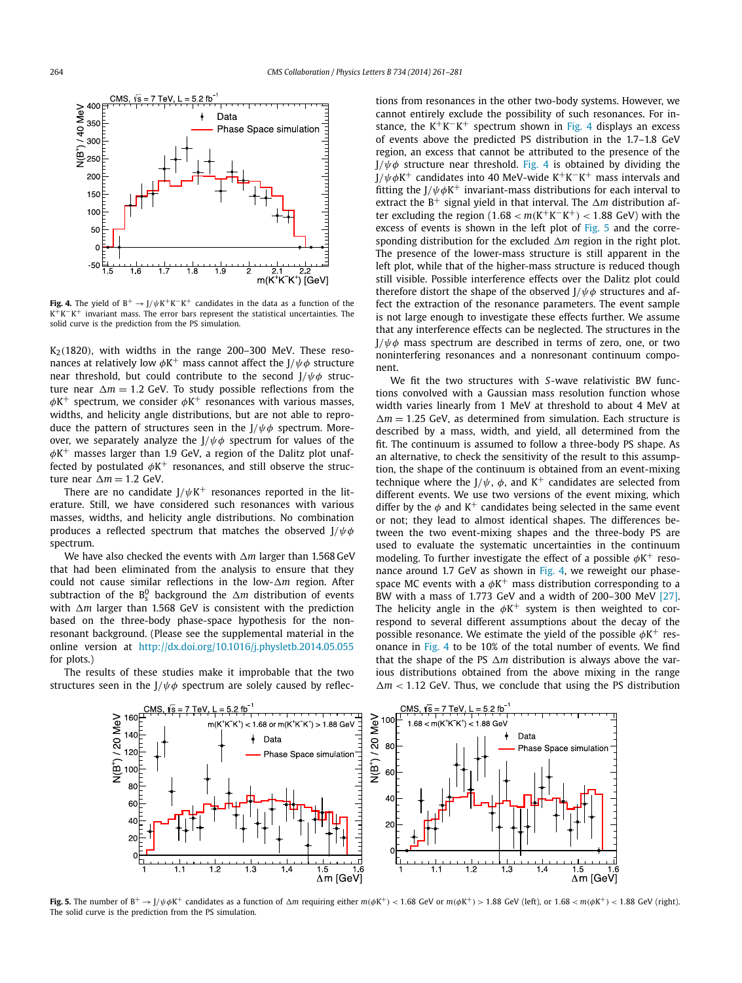

**Fig. 4.** The yield of  $B^+ \rightarrow J/\psi K^+ K^- K^+$  candidates in the data as a function of the  $K+K-K^+$  invariant mass. The error bars represent the statistical uncertainties. The solid curve is the prediction from the PS simulation.

 $K<sub>2</sub>(1820)$ , with widths in the range 200–300 MeV. These resonances at relatively low  $\phi$ K<sup>+</sup> mass cannot affect the  $J/\psi \phi$  structure near threshold, but could contribute to the second J*/ψφ* structure near  $\Delta m = 1.2$  GeV. To study possible reflections from the *φ*K+ spectrum, we consider *φ*K+ resonances with various masses, widths, and helicity angle distributions, but are not able to reproduce the pattern of structures seen in the J*/ψφ* spectrum. Moreover, we separately analyze the J*/ψφ* spectrum for values of the  $\phi$ K<sup>+</sup> masses larger than 1.9 GeV, a region of the Dalitz plot unaffected by postulated  $\phi K^+$  resonances, and still observe the structure near  $\Delta m = 1.2$  GeV.

There are no candidate  $I/\psi K^+$  resonances reported in the literature. Still, we have considered such resonances with various masses, widths, and helicity angle distributions. No combination produces a reflected spectrum that matches the observed J*/ψφ* spectrum.

We have also checked the events with  $\Delta m$  larger than 1.568 GeV that had been eliminated from the analysis to ensure that they could not cause similar reflections in the low- $\Delta m$  region. After subtraction of the  $B_s^0$  background the  $\Delta m$  distribution of events with  $\Delta m$  larger than 1.568 GeV is consistent with the prediction based on the three-body phase-space hypothesis for the nonresonant background. (Please see the supplemental material in the online version at <http://dx.doi.org/10.1016/j.physletb.2014.05.055> for plots.)

The results of these studies make it improbable that the two structures seen in the  $J/\psi\phi$  spectrum are solely caused by reflec-

tions from resonances in the other two-body systems. However, we cannot entirely exclude the possibility of such resonances. For instance, the K<sup>+</sup>K<sup>-</sup>K<sup>+</sup> spectrum shown in Fig. 4 displays an excess of events above the predicted PS distribution in the 1.7–1.8 GeV region, an excess that cannot be attributed to the presence of the  $J/\psi \phi$  structure near threshold. Fig. 4 is obtained by dividing the J*/ψφ*K+ candidates into 40 MeV-wide K+K−K+ mass intervals and fitting the J*/ψφ*K+ invariant-mass distributions for each interval to extract the  $B^+$  signal yield in that interval. The  $\Delta m$  distribution after excluding the region ( $1.68 < m(K+K-K^+) < 1.88$  GeV) with the excess of events is shown in the left plot of Fig. 5 and the corresponding distribution for the excluded  $\Delta m$  region in the right plot. The presence of the lower-mass structure is still apparent in the left plot, while that of the higher-mass structure is reduced though still visible. Possible interference effects over the Dalitz plot could therefore distort the shape of the observed J*/ψφ* structures and affect the extraction of the resonance parameters. The event sample is not large enough to investigate these effects further. We assume that any interference effects can be neglected. The structures in the J*/ψφ* mass spectrum are described in terms of zero, one, or two noninterfering resonances and a nonresonant continuum component.

We fit the two structures with *S*-wave relativistic BW functions convolved with a Gaussian mass resolution function whose width varies linearly from 1 MeV at threshold to about 4 MeV at  $\Delta m = 1.25$  GeV, as determined from simulation. Each structure is described by a mass, width, and yield, all determined from the fit. The continuum is assumed to follow a three-body PS shape. As an alternative, to check the sensitivity of the result to this assumption, the shape of the continuum is obtained from an event-mixing technique where the  $J/\psi$ ,  $\phi$ , and K<sup>+</sup> candidates are selected from different events. We use two versions of the event mixing, which differ by the  $\phi$  and K<sup>+</sup> candidates being selected in the same event or not; they lead to almost identical shapes. The differences between the two event-mixing shapes and the three-body PS are used to evaluate the systematic uncertainties in the continuum modeling. To further investigate the effect of a possible  $\phi K^+$  resonance around 1.7 GeV as shown in Fig. 4, we reweight our phasespace MC events with a  $\phi$ K<sup>+</sup> mass distribution corresponding to a BW with a mass of 1.773 GeV and a width of 200–300 MeV [\[27\].](#page-6-0) The helicity angle in the  $\phi$ K<sup>+</sup> system is then weighted to correspond to several different assumptions about the decay of the possible resonance. We estimate the yield of the possible  $\phi$ K<sup>+</sup> resonance in Fig. 4 to be 10% of the total number of events. We find that the shape of the PS  $\Delta m$  distribution is always above the various distributions obtained from the above mixing in the range  $\Delta m$  < 1.12 GeV. Thus, we conclude that using the PS distribution



Fig. 5. The number of  $B^+ \to J/\psi \phi K^+$  candidates as a function of  $\Delta m$  requiring either  $m(\phi K^+)$  < 1.68 GeV or  $m(\phi K^+)$  > 1.88 GeV (left), or 1.68 <  $m(\phi K^+)$  < 1.88 GeV (right). The solid curve is the prediction from the PS simulation.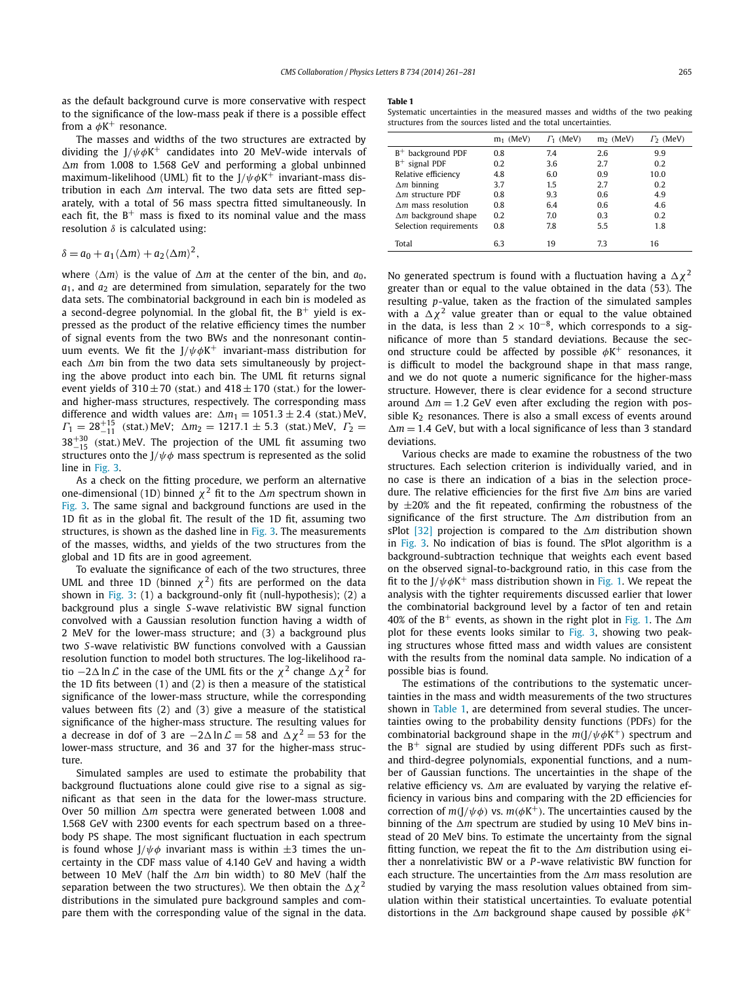<span id="page-4-0"></span>as the default background curve is more conservative with respect to the significance of the low-mass peak if there is a possible effect from a  $\phi$ K<sup>+</sup> resonance.

The masses and widths of the two structures are extracted by dividing the J*/ψφ*K+ candidates into 20 MeV-wide intervals of *m* from 1.008 to 1.568 GeV and performing a global unbinned maximum-likelihood (UML) fit to the  $J/\psi \phi K^+$  invariant-mass distribution in each  $\Delta m$  interval. The two data sets are fitted separately, with a total of 56 mass spectra fitted simultaneously. In each fit, the  $B^+$  mass is fixed to its nominal value and the mass resolution  $\delta$  is calculated using:

$$
\delta = a_0 + a_1 \langle \Delta m \rangle + a_2 \langle \Delta m \rangle^2,
$$

where  $\langle \Delta m \rangle$  is the value of  $\Delta m$  at the center of the bin, and  $a_0$ ,  $a_1$ , and  $a_2$  are determined from simulation, separately for the two data sets. The combinatorial background in each bin is modeled as a second-degree polynomial. In the global fit, the  $B^+$  vield is expressed as the product of the relative efficiency times the number of signal events from the two BWs and the nonresonant continuum events. We fit the J*/ψφ*K+ invariant-mass distribution for each  $\Delta m$  bin from the two data sets simultaneously by projecting the above product into each bin. The UML fit returns signal event yields of  $310 \pm 70$  *(stat.)* and  $418 \pm 170$  *(stat.)* for the lowerand higher-mass structures, respectively. The corresponding mass difference and width values are:  $\Delta m_1 = 1051.3 \pm 2.4$  *(stat.)* MeV,  $\Gamma_1 = 28^{+15}_{-11}$  (stat.) MeV;  $\Delta m_2 = 1217.1 \pm 5.3$  (stat.) MeV,  $\Gamma_2 =$  $38^{+30}_{-15}$  (stat.) MeV. The projection of the UML fit assuming two structures onto the J*/ψφ* mass spectrum is represented as the solid line in [Fig. 3.](#page-2-0)

As a check on the fitting procedure, we perform an alternative one-dimensional (1D) binned  $\chi^2$  fit to the  $\Delta m$  spectrum shown in [Fig. 3.](#page-2-0) The same signal and background functions are used in the 1D fit as in the global fit. The result of the 1D fit, assuming two structures, is shown as the dashed line in [Fig. 3.](#page-2-0) The measurements of the masses, widths, and yields of the two structures from the global and 1D fits are in good agreement.

To evaluate the significance of each of the two structures, three UML and three 1D (binned  $\chi^2$ ) fits are performed on the data shown in [Fig. 3:](#page-2-0) (1) a background-only fit (null-hypothesis); (2) a background plus a single *S*-wave relativistic BW signal function convolved with a Gaussian resolution function having a width of 2 MeV for the lower-mass structure; and (3) a background plus two *S*-wave relativistic BW functions convolved with a Gaussian resolution function to model both structures. The log-likelihood ratio  $-2\Delta \ln \mathcal{L}$  in the case of the UML fits or the  $\chi^2$  change  $\Delta \chi^2$  for the 1D fits between (1) and (2) is then a measure of the statistical significance of the lower-mass structure, while the corresponding values between fits (2) and (3) give a measure of the statistical significance of the higher-mass structure. The resulting values for a decrease in dof of 3 are  $-2\Delta \ln \mathcal{L} = 58$  and  $\Delta \chi^2 = 53$  for the lower-mass structure, and 36 and 37 for the higher-mass structure.

Simulated samples are used to estimate the probability that background fluctuations alone could give rise to a signal as significant as that seen in the data for the lower-mass structure. Over 50 million  $\Delta m$  spectra were generated between 1.008 and 1.568 GeV with 2300 events for each spectrum based on a threebody PS shape. The most significant fluctuation in each spectrum is found whose  $J/\psi\phi$  invariant mass is within  $\pm 3$  times the uncertainty in the CDF mass value of 4.140 GeV and having a width between 10 MeV (half the  $\Delta m$  bin width) to 80 MeV (half the separation between the two structures). We then obtain the  $\Delta \chi^2$ distributions in the simulated pure background samples and compare them with the corresponding value of the signal in the data.

#### **Table 1**

Systematic uncertainties in the measured masses and widths of the two peaking structures from the sources listed and the total uncertainties.

|                             | $m_1$ (MeV) | $\Gamma_1$ (MeV) | $m2$ (MeV) | $\Gamma_2$ (MeV) |
|-----------------------------|-------------|------------------|------------|------------------|
| $B+$ background PDF         | 0.8         | 7.4              | 2.6        | 9.9              |
| $B^+$ signal PDF            | 0.2         | 3.6              | 2.7        | 0.2              |
| Relative efficiency         | 4.8         | 6.0              | 0.9        | 10.0             |
| $\Delta m$ binning          | 3.7         | 1.5              | 2.7        | 0.2              |
| $\Delta m$ structure PDF    | 0.8         | 9.3              | 0.6        | 4.9              |
| $\Delta m$ mass resolution  | 0.8         | 6.4              | 0.6        | 4.6              |
| $\Delta m$ background shape | 0.2         | 7.0              | 0.3        | 0.2              |
| Selection requirements      | 0.8         | 7.8              | 5.5        | 1.8              |
| Total                       | 6.3         | 19               | 7.3        | 16               |

No generated spectrum is found with a fluctuation having a  $\Delta \chi^2$ greater than or equal to the value obtained in the data (53). The resulting *p*-value, taken as the fraction of the simulated samples with a  $\Delta \chi^2$  value greater than or equal to the value obtained in the data, is less than  $2 \times 10^{-8}$ , which corresponds to a significance of more than 5 standard deviations. Because the second structure could be affected by possible  $\phi K^+$  resonances, it is difficult to model the background shape in that mass range, and we do not quote a numeric significance for the higher-mass structure. However, there is clear evidence for a second structure around  $\Delta m = 1.2$  GeV even after excluding the region with possible  $K_2$  resonances. There is also a small excess of events around  $\Delta m = 1.4$  GeV, but with a local significance of less than 3 standard deviations.

Various checks are made to examine the robustness of the two structures. Each selection criterion is individually varied, and in no case is there an indication of a bias in the selection procedure. The relative efficiencies for the first five  $\Delta m$  bins are varied by  $\pm 20\%$  and the fit repeated, confirming the robustness of the significance of the first structure. The  $\Delta m$  distribution from an sPlot  $[32]$  projection is compared to the  $\Delta m$  distribution shown in [Fig. 3.](#page-2-0) No indication of bias is found. The sPlot algorithm is a background-subtraction technique that weights each event based on the observed signal-to-background ratio, in this case from the fit to the  $J/\psi \phi K^+$  mass distribution shown in [Fig. 1.](#page-1-0) We repeat the analysis with the tighter requirements discussed earlier that lower the combinatorial background level by a factor of ten and retain 40% of the  $B^+$  events, as shown in the right plot in [Fig. 1.](#page-1-0) The  $\Delta m$ plot for these events looks similar to [Fig. 3,](#page-2-0) showing two peaking structures whose fitted mass and width values are consistent with the results from the nominal data sample. No indication of a possible bias is found.

The estimations of the contributions to the systematic uncertainties in the mass and width measurements of the two structures shown in Table 1, are determined from several studies. The uncertainties owing to the probability density functions (PDFs) for the combinatorial background shape in the *m(*J*/ψφ*K+*)* spectrum and the  $B^+$  signal are studied by using different PDFs such as firstand third-degree polynomials, exponential functions, and a number of Gaussian functions. The uncertainties in the shape of the relative efficiency vs.  $\Delta m$  are evaluated by varying the relative efficiency in various bins and comparing with the 2D efficiencies for correction of  $m(J/\psi \phi)$  vs.  $m(\phi K^+)$ . The uncertainties caused by the binning of the  $\Delta m$  spectrum are studied by using 10 MeV bins instead of 20 MeV bins. To estimate the uncertainty from the signal fitting function, we repeat the fit to the  $\Delta m$  distribution using either a nonrelativistic BW or a *P* -wave relativistic BW function for each structure. The uncertainties from the  $\Delta m$  mass resolution are studied by varying the mass resolution values obtained from simulation within their statistical uncertainties. To evaluate potential distortions in the  $\Delta m$  background shape caused by possible  $\phi$ K<sup>+</sup>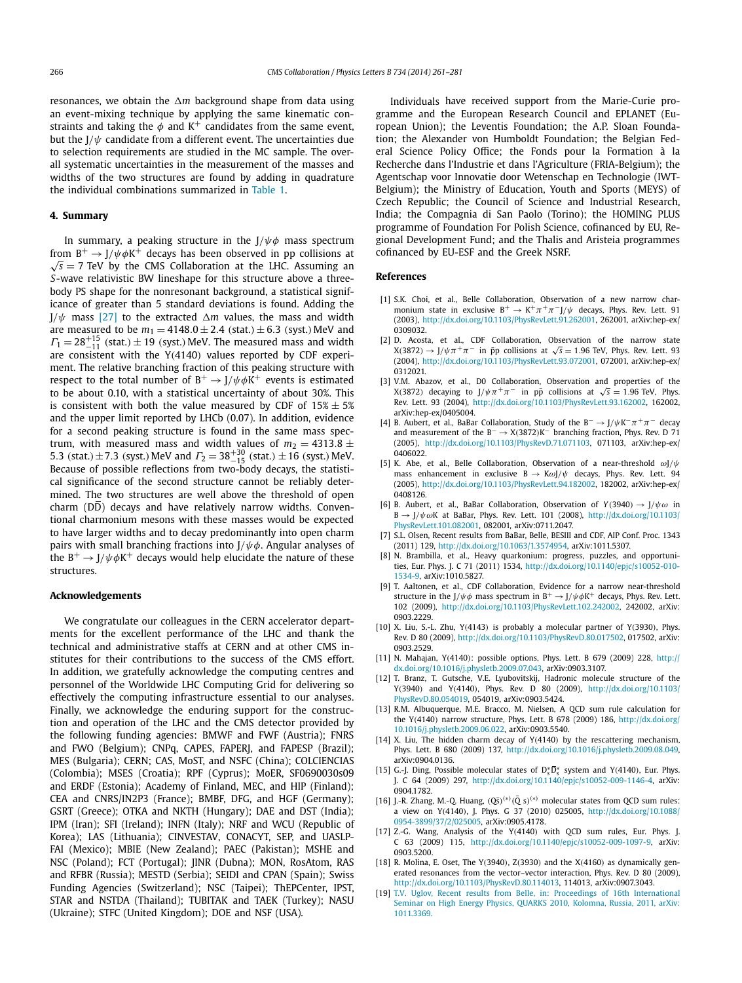<span id="page-5-0"></span>resonances, we obtain the  $\Delta m$  background shape from data using an event-mixing technique by applying the same kinematic constraints and taking the  $\phi$  and K<sup>+</sup> candidates from the same event, but the J*/ψ* candidate from a different event. The uncertainties due to selection requirements are studied in the MC sample. The overall systematic uncertainties in the measurement of the masses and widths of the two structures are found by adding in quadrature the individual combinations summarized in [Table 1.](#page-4-0)

#### **4. Summary**

In summary, a peaking structure in the J*/ψφ* mass spectrum from  $B^+ \rightarrow J/\psi \phi K^+$  decays has been observed in pp collisions at  $\sqrt{s}$  = 7 TeV by the CMS Collaboration at the LHC. Assuming an *S*-wave relativistic BW lineshape for this structure above a threebody PS shape for the nonresonant background, a statistical significance of greater than 5 standard deviations is found. Adding the  $J/\psi$  mass [\[27\]](#page-6-0) to the extracted  $\Delta m$  values, the mass and width are measured to be  $m_1 = 4148.0 \pm 2.4$  *(stat.)*  $\pm 6.3$  *(syst.)* MeV and  $\Gamma_1 = 28^{+15}_{-11}$  (stat.) ± 19 (syst.) MeV. The measured mass and width are consistent with the Y*(*4140*)* values reported by CDF experiment. The relative branching fraction of this peaking structure with respect to the total number of  $B^+ \rightarrow J/\psi \phi K^+$  events is estimated to be about 0.10, with a statistical uncertainty of about 30%. This is consistent with both the value measured by CDF of  $15\% \pm 5\%$ and the upper limit reported by LHCb (0.07). In addition, evidence for a second peaking structure is found in the same mass spectrum, with measured mass and width values of  $m_2 = 4313.8 \pm 10^{-10}$ 5.3 (stat.) $\pm$ 7.3 (syst.) MeV and  $\Gamma_2 = 38^{+30}_{-15}$  (stat.)  $\pm$ 16 (syst.) MeV. Because of possible reflections from two-body decays, the statistical significance of the second structure cannot be reliably determined. The two structures are well above the threshold of open charm  $(D\overline{D})$  decays and have relatively narrow widths. Conventional charmonium mesons with these masses would be expected to have larger widths and to decay predominantly into open charm pairs with small branching fractions into J*/ψφ*. Angular analyses of the  $B^+ \rightarrow J/\psi \phi K^+$  decays would help elucidate the nature of these structures.

#### **Acknowledgements**

We congratulate our colleagues in the CERN accelerator departments for the excellent performance of the LHC and thank the technical and administrative staffs at CERN and at other CMS institutes for their contributions to the success of the CMS effort. In addition, we gratefully acknowledge the computing centres and personnel of the Worldwide LHC Computing Grid for delivering so effectively the computing infrastructure essential to our analyses. Finally, we acknowledge the enduring support for the construction and operation of the LHC and the CMS detector provided by the following funding agencies: BMWF and FWF (Austria); FNRS and FWO (Belgium); CNPq, CAPES, FAPERJ, and FAPESP (Brazil); MES (Bulgaria); CERN; CAS, MoST, and NSFC (China); COLCIENCIAS (Colombia); MSES (Croatia); RPF (Cyprus); MoER, SF0690030s09 and ERDF (Estonia); Academy of Finland, MEC, and HIP (Finland); CEA and CNRS/IN2P3 (France); BMBF, DFG, and HGF (Germany); GSRT (Greece); OTKA and NKTH (Hungary); DAE and DST (India); IPM (Iran); SFI (Ireland); INFN (Italy); NRF and WCU (Republic of Korea); LAS (Lithuania); CINVESTAV, CONACYT, SEP, and UASLP-FAI (Mexico); MBIE (New Zealand); PAEC (Pakistan); MSHE and NSC (Poland); FCT (Portugal); JINR (Dubna); MON, RosAtom, RAS and RFBR (Russia); MESTD (Serbia); SEIDI and CPAN (Spain); Swiss Funding Agencies (Switzerland); NSC (Taipei); ThEPCenter, IPST, STAR and NSTDA (Thailand); TUBITAK and TAEK (Turkey); NASU (Ukraine); STFC (United Kingdom); DOE and NSF (USA).

Individuals have received support from the Marie-Curie programme and the European Research Council and EPLANET (European Union); the Leventis Foundation; the A.P. Sloan Foundation; the Alexander von Humboldt Foundation; the Belgian Federal Science Policy Office; the Fonds pour la Formation à la Recherche dans l'Industrie et dans l'Agriculture (FRIA-Belgium); the Agentschap voor Innovatie door Wetenschap en Technologie (IWT-Belgium); the Ministry of Education, Youth and Sports (MEYS) of Czech Republic; the Council of Science and Industrial Research, India; the Compagnia di San Paolo (Torino); the HOMING PLUS programme of Foundation For Polish Science, cofinanced by EU, Regional Development Fund; and the Thalis and Aristeia programmes cofinanced by EU-ESF and the Greek NSRF.

#### **References**

- [1] S.K. Choi, et al., Belle Collaboration, Observation of a new narrow charmonium state in exclusive  $B^+ \to K^+\pi^+\pi^- J/\psi$  decays, Phys. Rev. Lett. 91 (2003), [http://dx.doi.org/10.1103/PhysRevLett.91.262001,](http://dx.doi.org/10.1103/PhysRevLett.91.262001) 262001, arXiv:hep-ex/ 0309032.
- [2] D. Acosta, et al., CDF Collaboration, Observation of the narrow state  $X(3872) \rightarrow \frac{1}{\psi}\pi^{+}\pi^{-}$  in pp collisions at  $\sqrt{s} = 1.96$  TeV, Phys. Rev. Lett. 93 (2004), <http://dx.doi.org/10.1103/PhysRevLett.93.072001>, 072001, arXiv:hep-ex/ 0312021.
- [3] V.M. Abazov, et al., D0 Collaboration, Observation and properties of the *X*(3872) decaying to J/ $\psi \pi^{+} \pi^{-}$  in pp collisions at  $\sqrt{s} = 1.96$  TeV, Phys. Rev. Lett. 93 (2004), [http://dx.doi.org/10.1103/PhysRevLett.93.162002,](http://dx.doi.org/10.1103/PhysRevLett.93.162002) 162002, arXiv:hep-ex/0405004.
- [4] B. Aubert, et al., BaBar Collaboration, Study of the <sup>B</sup><sup>−</sup> → <sup>J</sup>*/ψ*K<sup>−</sup>*π*+*π*<sup>−</sup> decay and measurement of the B<sup>−</sup> → X*(*3872*)*K<sup>−</sup> branching fraction, Phys. Rev. D 71 (2005), <http://dx.doi.org/10.1103/PhysRevD.71.071103>, 071103, arXiv:hep-ex/ 0406022.
- [5] K. Abe, et al., Belle Collaboration, Observation of a near-threshold *ω*J*/ψ* mass enhancement in exclusive <sup>B</sup> → <sup>K</sup>*ω*J*/ψ* decays, Phys. Rev. Lett. <sup>94</sup> (2005), [http://dx.doi.org/10.1103/PhysRevLett.94.182002,](http://dx.doi.org/10.1103/PhysRevLett.94.182002) 182002, arXiv:hep-ex/ 0408126.
- [6] B. Aubert, et al., BaBar Collaboration, Observation of *<sup>Y</sup> (*3940*)* → <sup>J</sup>*/ψω* in <sup>B</sup> → <sup>J</sup>*/ψω*K at BaBar, Phys. Rev. Lett. <sup>101</sup> (2008), [http://dx.doi.org/10.1103/](http://dx.doi.org/10.1103/PhysRevLett.101.082001) [PhysRevLett.101.082001,](http://dx.doi.org/10.1103/PhysRevLett.101.082001) 082001, arXiv:0711.2047.
- [7] S.L. Olsen, Recent results from BaBar, Belle, BESIII and CDF, AIP Conf. Proc. 1343 (2011) 129, <http://dx.doi.org/10.1063/1.3574954>, arXiv:1011.5307.
- [8] N. Brambilla, et al., Heavy quarkonium: progress, puzzles, and opportunities, Eur. Phys. J. C 71 (2011) 1534, [http://dx.doi.org/10.1140/epjc/s10052-010-](http://dx.doi.org/10.1140/epjc/s10052-010-1534-9) [1534-9,](http://dx.doi.org/10.1140/epjc/s10052-010-1534-9) arXiv:1010.5827.
- [9] T. Aaltonen, et al., CDF Collaboration, Evidence for a narrow near-threshold structure in the J/ $\psi \phi$  mass spectrum in B<sup>+</sup>  $\rightarrow$  J/ $\psi \phi$ K<sup>+</sup> decays, Phys. Rev. Lett. 102 (2009), [http://dx.doi.org/10.1103/PhysRevLett.102.242002,](http://dx.doi.org/10.1103/PhysRevLett.102.242002) 242002, arXiv: 0903.2229.
- [10] X. Liu, S.-L. Zhu, Y*(*4143*)* is probably a molecular partner of Y*(*3930*)*, Phys. Rev. D 80 (2009), <http://dx.doi.org/10.1103/PhysRevD.80.017502>, 017502, arXiv: 0903.2529.
- [11] N. Mahajan, Y*(*4140*)*: possible options, Phys. Lett. B 679 (2009) 228, [http://](http://dx.doi.org/10.1016/j.physletb.2009.07.043) [dx.doi.org/10.1016/j.physletb.2009.07.043,](http://dx.doi.org/10.1016/j.physletb.2009.07.043) arXiv:0903.3107.
- [12] T. Branz, T. Gutsche, V.E. Lyubovitskij, Hadronic molecule structure of the Y*(*3940*)* and Y*(*4140*)*, Phys. Rev. D 80 (2009), [http://dx.doi.org/10.1103/](http://dx.doi.org/10.1103/PhysRevD.80.054019) [PhysRevD.80.054019,](http://dx.doi.org/10.1103/PhysRevD.80.054019) 054019, arXiv:0903.5424.
- [13] R.M. Albuquerque, M.E. Bracco, M. Nielsen, A QCD sum rule calculation for the Y*(*4140*)* narrow structure, Phys. Lett. B 678 (2009) 186, [http://dx.doi.org/](http://dx.doi.org/10.1016/j.physletb.2009.06.022) [10.1016/j.physletb.2009.06.022,](http://dx.doi.org/10.1016/j.physletb.2009.06.022) arXiv:0903.5540.
- [14] X. Liu, The hidden charm decay of Y*(*4140*)* by the rescattering mechanism, Phys. Lett. B 680 (2009) 137, <http://dx.doi.org/10.1016/j.physletb.2009.08.049>, arXiv:0904.0136.
- [15] G.-J. Ding, Possible molecular states of  $D_{s}^{*}D_{s}^{*}$  system and Y(4140), Eur. Phys. J. C 64 (2009) 297, [http://dx.doi.org/10.1140/epjc/s10052-009-1146-4,](http://dx.doi.org/10.1140/epjc/s10052-009-1146-4) arXiv: 0904.1782.
- [16] J.-R. Zhang, M.-Q. Huang,  $(Q\bar{s})^{(*)}(\bar{Q} s)^{(*)}$  molecular states from QCD sum rules: a view on Y*(*4140*)*, J. Phys. G 37 (2010) 025005, [http://dx.doi.org/10.1088/](http://dx.doi.org/10.1088/0954-3899/37/2/025005) [0954-3899/37/2/025005](http://dx.doi.org/10.1088/0954-3899/37/2/025005), arXiv:0905.4178.
- [17] Z.-G. Wang, Analysis of the Y*(*4140*)* with QCD sum rules, Eur. Phys. J. C 63 (2009) 115, [http://dx.doi.org/10.1140/epjc/s10052-009-1097-9,](http://dx.doi.org/10.1140/epjc/s10052-009-1097-9) arXiv: 0903.5200.
- [18] R. Molina, E. Oset, The Y*(*3940*)*, Z*(*3930*)* and the X*(*4160*)* as dynamically generated resonances from the vector–vector interaction, Phys. Rev. D 80 (2009), [http://dx.doi.org/10.1103/PhysRevD.80.114013,](http://dx.doi.org/10.1103/PhysRevD.80.114013) 114013, arXiv:0907.3043.
- [19] T.V. Uglov, Recent results from Belle, in: Proceedings of 16th [International](http://refhub.elsevier.com/S0370-2693(14)00365-7/bib55676C6F763A323031307763s1) Seminar on High Energy Physics, QUARKS 2010, [Kolomna,](http://refhub.elsevier.com/S0370-2693(14)00365-7/bib55676C6F763A323031307763s1) Russia, 2011, arXiv: [1011.3369.](http://refhub.elsevier.com/S0370-2693(14)00365-7/bib55676C6F763A323031307763s1)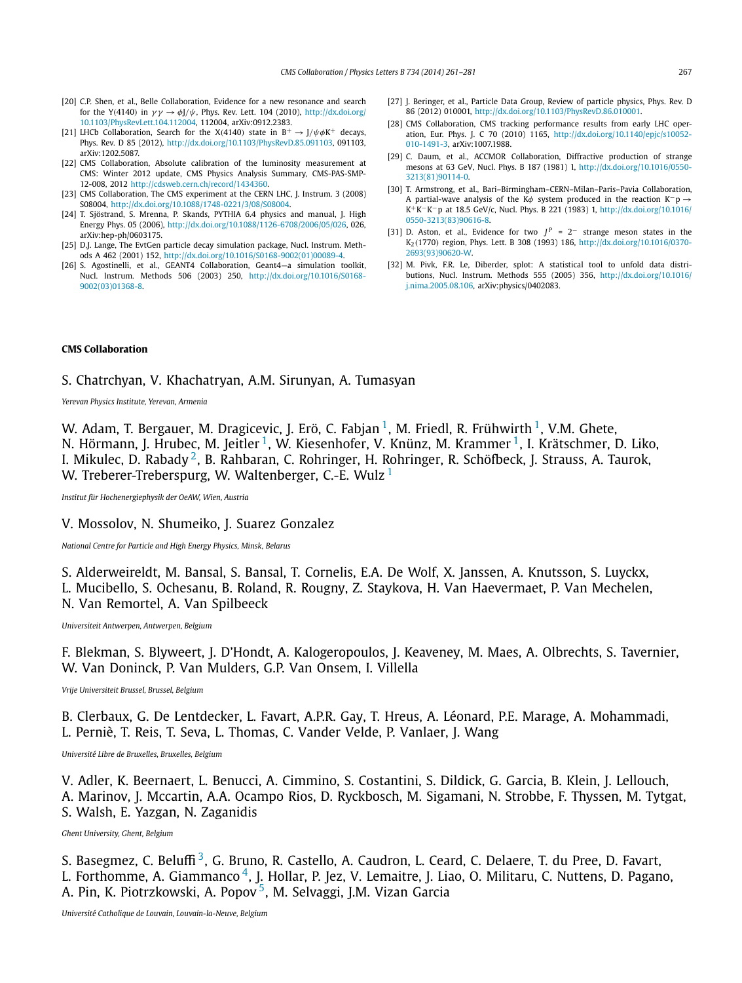- <span id="page-6-0"></span>[20] C.P. Shen, et al., Belle Collaboration, Evidence for a new resonance and search for the Y(4140) in  $\gamma \gamma \rightarrow \phi J/\psi$ , Phys. Rev. Lett. 104 (2010), [http://dx.doi.org/](http://dx.doi.org/10.1103/PhysRevLett.104.112004) [10.1103/PhysRevLett.104.112004](http://dx.doi.org/10.1103/PhysRevLett.104.112004), 112004, arXiv:0912.2383.
- [21] LHCb Collaboration, Search for the X(4140) state in  $B^+ \rightarrow J/\psi \phi K^+$  decays, Phys. Rev. D 85 (2012), [http://dx.doi.org/10.1103/PhysRevD.85.091103,](http://dx.doi.org/10.1103/PhysRevD.85.091103) 091103, arXiv:1202.5087.
- [22] CMS Collaboration, Absolute calibration of the luminosity measurement at CMS: Winter 2012 update, CMS Physics Analysis Summary, CMS-PAS-SMP-12-008, 2012 <http://cdsweb.cern.ch/record/1434360>.
- [23] CMS Collaboration, The CMS experiment at the CERN LHC, J. Instrum. 3 (2008) S08004, <http://dx.doi.org/10.1088/1748-0221/3/08/S08004>.
- [24] T. Sjöstrand, S. Mrenna, P. Skands, PYTHIA 6.4 physics and manual, J. High Energy Phys. 05 (2006), <http://dx.doi.org/10.1088/1126-6708/2006/05/026>, 026, arXiv:hep-ph/0603175.
- [25] D.J. Lange, The EvtGen particle decay simulation package, Nucl. Instrum. Methods A 462 (2001) 152, [http://dx.doi.org/10.1016/S0168-9002\(01\)00089-4.](http://dx.doi.org/10.1016/S0168-9002(01)00089-4)
- [26] S. Agostinelli, et al., GEANT4 Collaboration, Geant4-a simulation toolkit, Nucl. Instrum. Methods 506 (2003) 250, [http://dx.doi.org/10.1016/S0168-](http://dx.doi.org/10.1016/S0168-9002(03)01368-8) [9002\(03\)01368-8.](http://dx.doi.org/10.1016/S0168-9002(03)01368-8)
- [27] J. Beringer, et al., Particle Data Group, Review of particle physics, Phys. Rev. D. 86 (2012) 010001, <http://dx.doi.org/10.1103/PhysRevD.86.010001>.
- [28] CMS Collaboration, CMS tracking performance results from early LHC operation, Eur. Phys. J. C 70 (2010) 1165, [http://dx.doi.org/10.1140/epjc/s10052-](http://dx.doi.org/10.1140/epjc/s10052-010-1491-3) [010-1491-3](http://dx.doi.org/10.1140/epjc/s10052-010-1491-3), arXiv:1007.1988.
- [29] C. Daum, et al., ACCMOR Collaboration, Diffractive production of strange mesons at 63 GeV, Nucl. Phys. B 187 (1981) 1, [http://dx.doi.org/10.1016/0550-](http://dx.doi.org/10.1016/0550-3213(81)90114-0) [3213\(81\)90114-0.](http://dx.doi.org/10.1016/0550-3213(81)90114-0)
- [30] T. Armstrong, et al., Bari–Birmingham–CERN–Milan–Paris–Pavia Collaboration, A partial-wave analysis of the K*φ* system produced in the reaction K−p → K+K−K−p at 18.5 GeV/c, Nucl. Phys. B 221 (1983) 1, [http://dx.doi.org/10.1016/](http://dx.doi.org/10.1016/0550-3213(83)90616-8) [0550-3213\(83\)90616-8](http://dx.doi.org/10.1016/0550-3213(83)90616-8).
- [31] D. Aston, et al., Evidence for two  $I^P = 2^-$  strange meson states in the K2*(*1770*)* region, Phys. Lett. B 308 (1993) 186, [http://dx.doi.org/10.1016/0370-](http://dx.doi.org/10.1016/0370-2693(93)90620-W) [2693\(93\)90620-W.](http://dx.doi.org/10.1016/0370-2693(93)90620-W)
- [32] M. Pivk, F.R. Le, Diberder, splot: A statistical tool to unfold data distributions, Nucl. Instrum. Methods 555 (2005) 356, [http://dx.doi.org/10.1016/](http://dx.doi.org/10.1016/j.nima.2005.08.106) [j.nima.2005.08.106,](http://dx.doi.org/10.1016/j.nima.2005.08.106) arXiv:physics/0402083.

#### **CMS Collaboration**

S. Chatrchyan, V. Khachatryan, A.M. Sirunyan, A. Tumasyan

*Yerevan Physics Institute, Yerevan, Armenia*

W. Adam, T. Bergauer, M. Dragicevic, J. Erö, C. Fabjan<sup>1</sup>, M. Friedl, R. Frühwirth<sup>1</sup>, V.M. Ghete, N. Hörmann, J. Hrubec, M. Jeitler <sup>1</sup>, W. Kiesenhofer, V. Knünz, M. Krammer <sup>1</sup>, I. Krätschmer, D. Liko, I. Mikulec, D. Rabady [2,](#page-19-0) B. Rahbaran, C. Rohringer, H. Rohringer, R. Schöfbeck, J. Strauss, A. Taurok, W. Treberer-Treberspurg, W. Waltenberger, C.-E. Wulz<sup>[1](#page-19-0)</sup>

*Institut für Hochenergiephysik der OeAW, Wien, Austria*

V. Mossolov, N. Shumeiko, J. Suarez Gonzalez

*National Centre for Particle and High Energy Physics, Minsk, Belarus*

S. Alderweireldt, M. Bansal, S. Bansal, T. Cornelis, E.A. De Wolf, X. Janssen, A. Knutsson, S. Luyckx, L. Mucibello, S. Ochesanu, B. Roland, R. Rougny, Z. Staykova, H. Van Haevermaet, P. Van Mechelen, N. Van Remortel, A. Van Spilbeeck

*Universiteit Antwerpen, Antwerpen, Belgium*

F. Blekman, S. Blyweert, J. D'Hondt, A. Kalogeropoulos, J. Keaveney, M. Maes, A. Olbrechts, S. Tavernier, W. Van Doninck, P. Van Mulders, G.P. Van Onsem, I. Villella

*Vrije Universiteit Brussel, Brussel, Belgium*

B. Clerbaux, G. De Lentdecker, L. Favart, A.P.R. Gay, T. Hreus, A. Léonard, P.E. Marage, A. Mohammadi, L. Perniè, T. Reis, T. Seva, L. Thomas, C. Vander Velde, P. Vanlaer, J. Wang

*Université Libre de Bruxelles, Bruxelles, Belgium*

V. Adler, K. Beernaert, L. Benucci, A. Cimmino, S. Costantini, S. Dildick, G. Garcia, B. Klein, J. Lellouch, A. Marinov, J. Mccartin, A.A. Ocampo Rios, D. Ryckbosch, M. Sigamani, N. Strobbe, F. Thyssen, M. Tytgat, S. Walsh, E. Yazgan, N. Zaganidis

*Ghent University, Ghent, Belgium*

S. Basegmez, C. Beluffi<sup>3</sup>, G. Bruno, R. Castello, A. Caudron, L. Ceard, C. Delaere, T. du Pree, D. Favart, L. Forthomme, A. Giammanco<sup>4</sup>, J. Hollar, P. Jez, V. Lemaitre, J. Liao, O. Militaru, C. Nuttens, D. Pagano, A. Pin, K. Piotrzkowski, A. Popov [5,](#page-19-0) M. Selvaggi, J.M. Vizan Garcia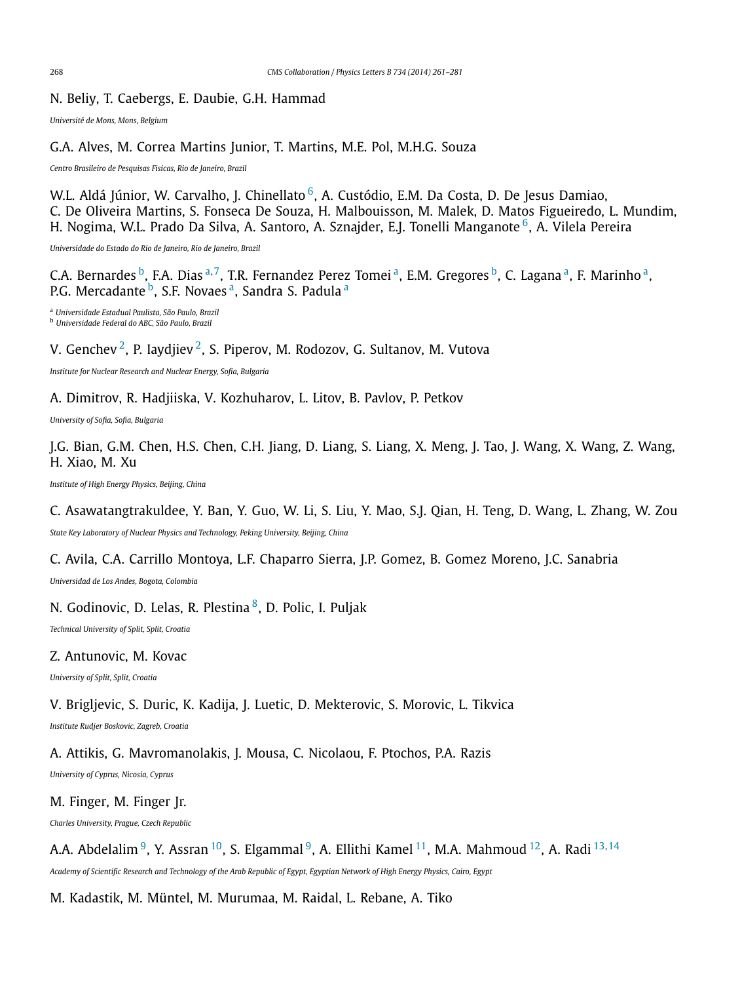## N. Beliy, T. Caebergs, E. Daubie, G.H. Hammad

*Université de Mons, Mons, Belgium*

## G.A. Alves, M. Correa Martins Junior, T. Martins, M.E. Pol, M.H.G. Souza

*Centro Brasileiro de Pesquisas Fisicas, Rio de Janeiro, Brazil*

W.L. Aldá Júnior, W. Carvalho, J. Chinellato<sup>6</sup>, A. Custódio, E.M. Da Costa, D. De Jesus Damiao, C. De Oliveira Martins, S. Fonseca De Souza, H. Malbouisson, M. Malek, D. Matos Figueiredo, L. Mundim, H. Nogima, W.L. Prado Da Silva, A. Santoro, A. Sznajder, E.J. Tonelli Manganote<sup>6</sup>, A. Vilela Pereira

*Universidade do Estado do Rio de Janeiro, Rio de Janeiro, Brazil*

C.A. Bernardes <sup>b</sup>, F.A. Dias <sup>a, 7</sup>, T.R. Fernandez Perez Tomei<sup>a</sup>, E.M. Gregores <sup>b</sup>, C. Lagana<sup>a</sup>, F. Marinho<sup>a</sup>, P.G. Mercadante <sup>b</sup>, S.F. Novaes<sup>a</sup>, Sandra S. Padula <sup>a</sup>

<sup>a</sup> *Universidade Estadual Paulista, São Paulo, Brazil* <sup>b</sup> *Universidade Federal do ABC, São Paulo, Brazil*

# V. Genchev [2,](#page-19-0) P. Iaydjiev [2](#page-19-0), S. Piperov, M. Rodozov, G. Sultanov, M. Vutova

*Institute for Nuclear Research and Nuclear Energy, Sofia, Bulgaria*

#### A. Dimitrov, R. Hadjiiska, V. Kozhuharov, L. Litov, B. Pavlov, P. Petkov

*University of Sofia, Sofia, Bulgaria*

J.G. Bian, G.M. Chen, H.S. Chen, C.H. Jiang, D. Liang, S. Liang, X. Meng, J. Tao, J. Wang, X. Wang, Z. Wang, H. Xiao, M. Xu

*Institute of High Energy Physics, Beijing, China*

#### C. Asawatangtrakuldee, Y. Ban, Y. Guo, W. Li, S. Liu, Y. Mao, S.J. Qian, H. Teng, D. Wang, L. Zhang, W. Zou

*State Key Laboratory of Nuclear Physics and Technology, Peking University, Beijing, China*

#### C. Avila, C.A. Carrillo Montoya, L.F. Chaparro Sierra, J.P. Gomez, B. Gomez Moreno, J.C. Sanabria

*Universidad de Los Andes, Bogota, Colombia*

## N. Godinovic, D. Lelas, R. Plestina<sup>8</sup>, D. Polic, I. Puljak

*Technical University of Split, Split, Croatia*

#### Z. Antunovic, M. Kovac

*University of Split, Split, Croatia*

#### V. Brigljevic, S. Duric, K. Kadija, J. Luetic, D. Mekterovic, S. Morovic, L. Tikvica

*Institute Rudjer Boskovic, Zagreb, Croatia*

#### A. Attikis, G. Mavromanolakis, J. Mousa, C. Nicolaou, F. Ptochos, P.A. Razis

*University of Cyprus, Nicosia, Cyprus*

#### M. Finger, M. Finger Jr.

*Charles University, Prague, Czech Republic*

# A.A. Abdelalim <sup>9</sup>, Y. Assran <sup>10</sup>, S. Elgammal <sup>9</sup>, A. Ellithi Kamel <sup>[11](#page-19-0)</sup>, M.A. Mahmoud <sup>[12](#page-19-0)</sup>, A. Radi <sup>[13](#page-19-0),[14](#page-19-0)</sup>

Academy of Scientific Research and Technology of the Arab Republic of Egypt, Egyptian Network of High Energy Physics, Cairo, Egypt

M. Kadastik, M. Müntel, M. Murumaa, M. Raidal, L. Rebane, A. Tiko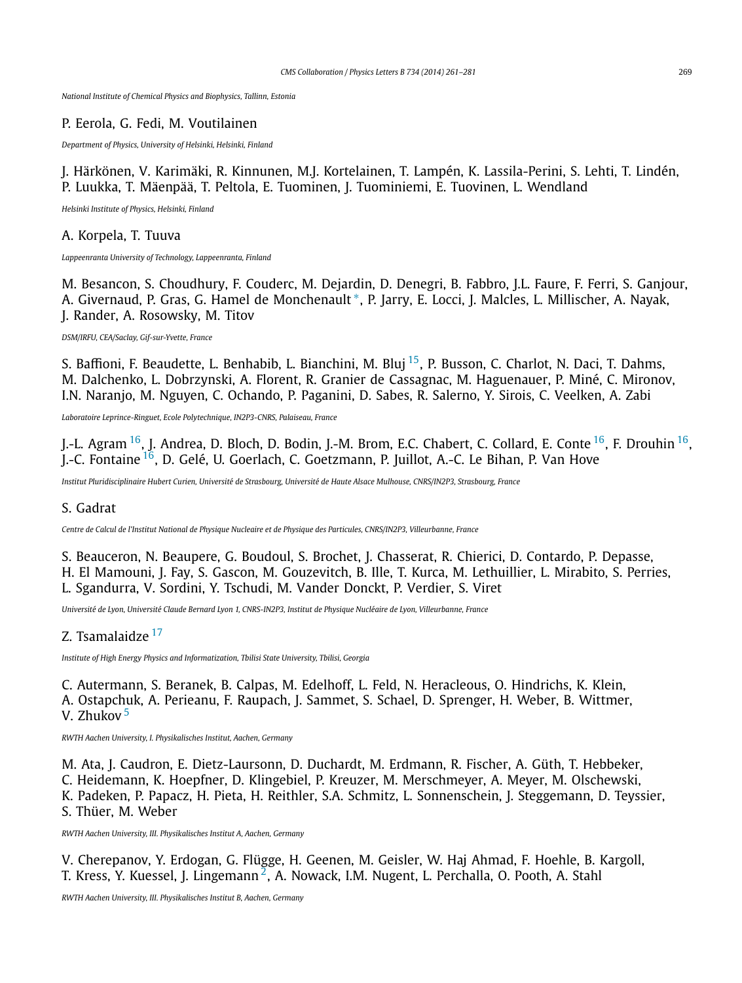*National Institute of Chemical Physics and Biophysics, Tallinn, Estonia*

#### P. Eerola, G. Fedi, M. Voutilainen

*Department of Physics, University of Helsinki, Helsinki, Finland*

J. Härkönen, V. Karimäki, R. Kinnunen, M.J. Kortelainen, T. Lampén, K. Lassila-Perini, S. Lehti, T. Lindén, P. Luukka, T. Mäenpää, T. Peltola, E. Tuominen, J. Tuominiemi, E. Tuovinen, L. Wendland

*Helsinki Institute of Physics, Helsinki, Finland*

## A. Korpela, T. Tuuva

*Lappeenranta University of Technology, Lappeenranta, Finland*

M. Besancon, S. Choudhury, F. Couderc, M. Dejardin, D. Denegri, B. Fabbro, J.L. Faure, F. Ferri, S. Ganjour, A. Givernaud, P. Gras, G. Hamel de Monchenault [∗](#page-19-0), P. Jarry, E. Locci, J. Malcles, L. Millischer, A. Nayak, J. Rander, A. Rosowsky, M. Titov

*DSM/IRFU, CEA/Saclay, Gif-sur-Yvette, France*

S. Baffioni, F. Beaudette, L. Benhabib, L. Bianchini, M. Bluj <sup>[15](#page-19-0)</sup>, P. Busson, C. Charlot, N. Daci, T. Dahms, M. Dalchenko, L. Dobrzynski, A. Florent, R. Granier de Cassagnac, M. Haguenauer, P. Miné, C. Mironov, I.N. Naranjo, M. Nguyen, C. Ochando, P. Paganini, D. Sabes, R. Salerno, Y. Sirois, C. Veelken, A. Zabi

*Laboratoire Leprince-Ringuet, Ecole Polytechnique, IN2P3-CNRS, Palaiseau, France*

J.-L. Agram  $^{16}$ , J. Andrea, D. Bloch, D. Bodin, J.-M. Brom, E.C. Chabert, C. Collard, E. Conte  $^{16}$ , F. Drouhin  $^{16}$ , J.-C. Fontaine <sup>16</sup>, D. Gelé, U. Goerlach, C. Goetzmann, P. Juillot, A.-C. Le Bihan, P. Van Hove

Institut Pluridisciplinaire Hubert Curien, Université de Strasbourg, Université de Haute Alsace Mulhouse, CNRS/IN2P3, Strasbourg, France

## S. Gadrat

Centre de Calcul de l'Institut National de Physique Nucleaire et de Physique des Particules, CNRS/IN2P3, Villeurbanne, France

S. Beauceron, N. Beaupere, G. Boudoul, S. Brochet, J. Chasserat, R. Chierici, D. Contardo, P. Depasse, H. El Mamouni, J. Fay, S. Gascon, M. Gouzevitch, B. Ille, T. Kurca, M. Lethuillier, L. Mirabito, S. Perries, L. Sgandurra, V. Sordini, Y. Tschudi, M. Vander Donckt, P. Verdier, S. Viret

Université de Lyon, Université Claude Bernard Lyon 1, CNRS-IN2P3, Institut de Physique Nucléaire de Lyon, Villeurbanne, France

## Z. Tsamalaidze [17](#page-20-0)

*Institute of High Energy Physics and Informatization, Tbilisi State University, Tbilisi, Georgia*

C. Autermann, S. Beranek, B. Calpas, M. Edelhoff, L. Feld, N. Heracleous, O. Hindrichs, K. Klein, A. Ostapchuk, A. Perieanu, F. Raupach, J. Sammet, S. Schael, D. Sprenger, H. Weber, B. Wittmer, V. Zhukov<sup>[5](#page-19-0)</sup>

*RWTH Aachen University, I. Physikalisches Institut, Aachen, Germany*

M. Ata, J. Caudron, E. Dietz-Laursonn, D. Duchardt, M. Erdmann, R. Fischer, A. Güth, T. Hebbeker, C. Heidemann, K. Hoepfner, D. Klingebiel, P. Kreuzer, M. Merschmeyer, A. Meyer, M. Olschewski, K. Padeken, P. Papacz, H. Pieta, H. Reithler, S.A. Schmitz, L. Sonnenschein, J. Steggemann, D. Teyssier, S. Thüer, M. Weber

*RWTH Aachen University, III. Physikalisches Institut A, Aachen, Germany*

V. Cherepanov, Y. Erdogan, G. Flügge, H. Geenen, M. Geisler, W. Haj Ahmad, F. Hoehle, B. Kargoll, T. Kress, Y. Kuessel, J. Lingemann<sup>2</sup>, A. Nowack, I.M. Nugent, L. Perchalla, O. Pooth, A. Stahl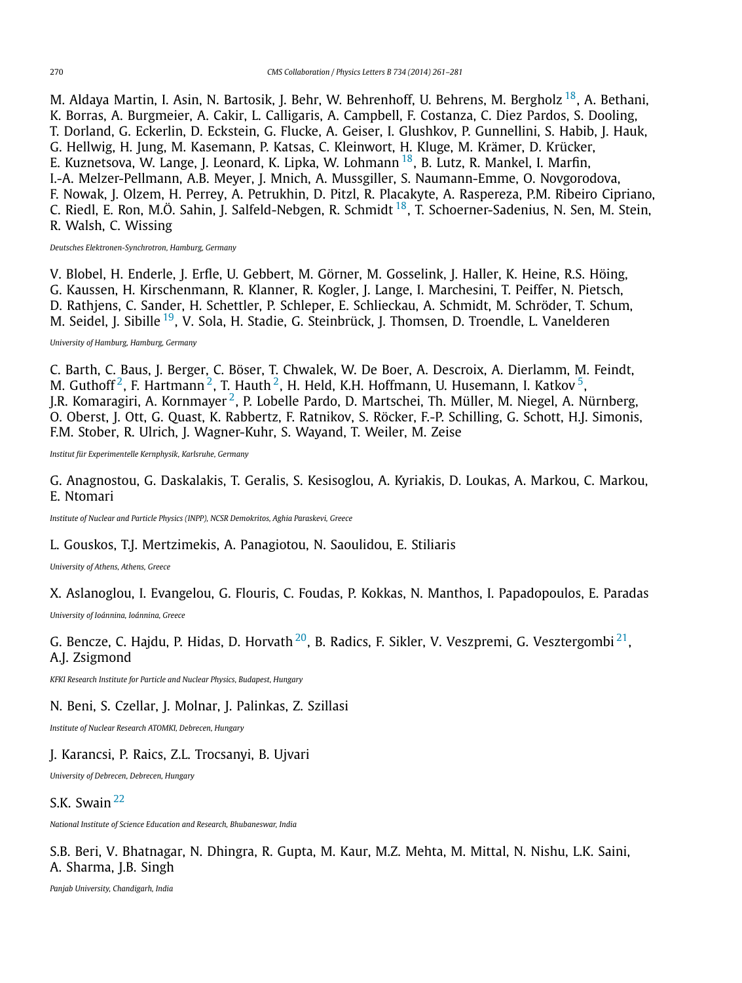M. Aldaya Martin, I. Asin, N. Bartosik, J. Behr, W. Behrenhoff, U. Behrens, M. Bergholz<sup>18</sup>, A. Bethani. K. Borras, A. Burgmeier, A. Cakir, L. Calligaris, A. Campbell, F. Costanza, C. Diez Pardos, S. Dooling, T. Dorland, G. Eckerlin, D. Eckstein, G. Flucke, A. Geiser, I. Glushkov, P. Gunnellini, S. Habib, J. Hauk, G. Hellwig, H. Jung, M. Kasemann, P. Katsas, C. Kleinwort, H. Kluge, M. Krämer, D. Krücker, E. Kuznetsova, W. Lange, J. Leonard, K. Lipka, W. Lohmann [18,](#page-20-0) B. Lutz, R. Mankel, I. Marfin, I.-A. Melzer-Pellmann, A.B. Meyer, J. Mnich, A. Mussgiller, S. Naumann-Emme, O. Novgorodova, F. Nowak, J. Olzem, H. Perrey, A. Petrukhin, D. Pitzl, R. Placakyte, A. Raspereza, P.M. Ribeiro Cipriano, C. Riedl, E. Ron, M.Ö. Sahin, J. Salfeld-Nebgen, R. Schmidt [18,](#page-20-0) T. Schoerner-Sadenius, N. Sen, M. Stein, R. Walsh, C. Wissing

*Deutsches Elektronen-Synchrotron, Hamburg, Germany*

V. Blobel, H. Enderle, J. Erfle, U. Gebbert, M. Görner, M. Gosselink, J. Haller, K. Heine, R.S. Höing, G. Kaussen, H. Kirschenmann, R. Klanner, R. Kogler, J. Lange, I. Marchesini, T. Peiffer, N. Pietsch, D. Rathjens, C. Sander, H. Schettler, P. Schleper, E. Schlieckau, A. Schmidt, M. Schröder, T. Schum, M. Seidel, J. Sibille [19,](#page-20-0) V. Sola, H. Stadie, G. Steinbrück, J. Thomsen, D. Troendle, L. Vanelderen

*University of Hamburg, Hamburg, Germany*

C. Barth, C. Baus, J. Berger, C. Böser, T. Chwalek, W. De Boer, A. Descroix, A. Dierlamm, M. Feindt, M. Guthoff<sup>2</sup>, F. Hartmann<sup>2</sup>, T. Hauth<sup>2</sup>, H. Held, K.H. Hoffmann, U. Husemann, I. Katkov<sup>5</sup>, J.R. Komaragiri, A. Kornmayer<sup>2</sup>, P. Lobelle Pardo, D. Martschei, Th. Müller, M. Niegel, A. Nürnberg, O. Oberst, J. Ott, G. Quast, K. Rabbertz, F. Ratnikov, S. Röcker, F.-P. Schilling, G. Schott, H.J. Simonis, F.M. Stober, R. Ulrich, J. Wagner-Kuhr, S. Wayand, T. Weiler, M. Zeise

*Institut für Experimentelle Kernphysik, Karlsruhe, Germany*

G. Anagnostou, G. Daskalakis, T. Geralis, S. Kesisoglou, A. Kyriakis, D. Loukas, A. Markou, C. Markou, E. Ntomari

*Institute of Nuclear and Particle Physics (INPP), NCSR Demokritos, Aghia Paraskevi, Greece*

#### L. Gouskos, T.J. Mertzimekis, A. Panagiotou, N. Saoulidou, E. Stiliaris

*University of Athens, Athens, Greece*

X. Aslanoglou, I. Evangelou, G. Flouris, C. Foudas, P. Kokkas, N. Manthos, I. Papadopoulos, E. Paradas

*University of Ioánnina, Ioánnina, Greece*

G. Bencze, C. Hajdu, P. Hidas, D. Horvath  $20$ , B. Radics, F. Sikler, V. Veszpremi, G. Vesztergombi  $21$ , A.J. Zsigmond

*KFKI Research Institute for Particle and Nuclear Physics, Budapest, Hungary*

N. Beni, S. Czellar, J. Molnar, J. Palinkas, Z. Szillasi

*Institute of Nuclear Research ATOMKI, Debrecen, Hungary*

#### J. Karancsi, P. Raics, Z.L. Trocsanyi, B. Ujvari

*University of Debrecen, Debrecen, Hungary*

## S.K. Swain<sup>[22](#page-20-0)</sup>

*National Institute of Science Education and Research, Bhubaneswar, India*

S.B. Beri, V. Bhatnagar, N. Dhingra, R. Gupta, M. Kaur, M.Z. Mehta, M. Mittal, N. Nishu, L.K. Saini, A. Sharma, J.B. Singh

*Panjab University, Chandigarh, India*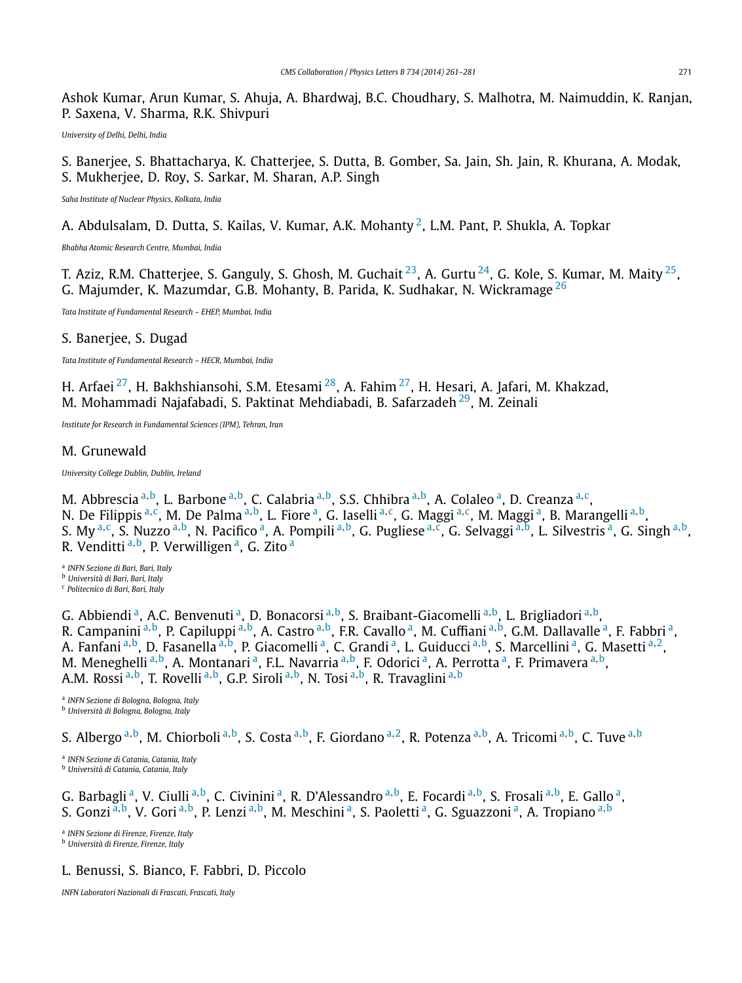Ashok Kumar, Arun Kumar, S. Ahuja, A. Bhardwaj, B.C. Choudhary, S. Malhotra, M. Naimuddin, K. Ranjan, P. Saxena, V. Sharma, R.K. Shivpuri

*University of Delhi, Delhi, India*

S. Banerjee, S. Bhattacharya, K. Chatterjee, S. Dutta, B. Gomber, Sa. Jain, Sh. Jain, R. Khurana, A. Modak, S. Mukherjee, D. Roy, S. Sarkar, M. Sharan, A.P. Singh

*Saha Institute of Nuclear Physics, Kolkata, India*

A. Abdulsalam, D. Dutta, S. Kailas, V. Kumar, A.K. Mohanty [2](#page-19-0), L.M. Pant, P. Shukla, A. Topkar

*Bhabha Atomic Research Centre, Mumbai, India*

T. Aziz, R.M. Chatterjee, S. Ganguly, S. Ghosh, M. Guchait  $^{23}$ , A. Gurtu  $^{24}$ , G. Kole, S. Kumar, M. Maity  $^{25}$ , G. Majumder, K. Mazumdar, G.B. Mohanty, B. Parida, K. Sudhakar, N. Wickramage [26](#page-20-0)

*Tata Institute of Fundamental Research – EHEP, Mumbai, India*

#### S. Banerjee, S. Dugad

*Tata Institute of Fundamental Research – HECR, Mumbai, India*

H. Arfaei [27,](#page-20-0) H. Bakhshiansohi, S.M. Etesami [28,](#page-20-0) A. Fahim [27,](#page-20-0) H. Hesari, A. Jafari, M. Khakzad, M. Mohammadi Najafabadi, S. Paktinat Mehdiabadi, B. Safarzadeh [29](#page-20-0), M. Zeinali

*Institute for Research in Fundamental Sciences (IPM), Tehran, Iran*

#### M. Grunewald

*University College Dublin, Dublin, Ireland*

M. Abbrescia <sup>a</sup>*,*b, L. Barbone <sup>a</sup>*,*b, C. Calabria <sup>a</sup>*,*b, S.S. Chhibra <sup>a</sup>*,*b, A. Colaleo a, D. Creanza <sup>a</sup>*,*c, N. De Filippis <sup>a</sup>*,*c, M. De Palma <sup>a</sup>*,*b, L. Fiore a, G. Iaselli <sup>a</sup>*,*c, G. Maggi <sup>a</sup>*,*c, M. Maggi a, B. Marangelli <sup>a</sup>*,*b, S. My <sup>a</sup>*,*c, S. Nuzzo <sup>a</sup>*,*b, N. Pacifico a, A. Pompili <sup>a</sup>*,*b, G. Pugliese <sup>a</sup>*,*c, G. Selvaggi <sup>a</sup>*,*b, L. Silvestris a, G. Singh <sup>a</sup>*,*b, R. Venditti a, b, P. Verwilligen <sup>a</sup>, G. Zito <sup>a</sup>

<sup>a</sup> *INFN Sezione di Bari, Bari, Italy*

<sup>b</sup> *Università di Bari, Bari, Italy*

<sup>c</sup> *Politecnico di Bari, Bari, Italy*

G. Abbiendi a, A.C. Benvenuti a, D. Bonacorsi <sup>a</sup>*,*b, S. Braibant-Giacomelli <sup>a</sup>*,*b, L. Brigliadori <sup>a</sup>*,*b, R. Campanini <sup>a,b</sup>, P. Capiluppi <sup>a,b</sup>, A. Castro <sup>a,b</sup>, F.R. Cavallo <sup>a</sup>, M. Cuffiani <sup>a,b</sup>, G.M. Dallavalle <sup>a</sup>, F. Fabbri <sup>a</sup>, A. Fanfani <sup>a</sup>*,*b, D. Fasanella <sup>a</sup>*,*b, P. Giacomelli a, C. Grandi a, L. Guiducci <sup>a</sup>*,*b, S. Marcellini a, G. Masetti <sup>a</sup>*,*[2,](#page-19-0) M. Meneghelli a, b, A. Montanari <sup>a</sup>, F.L. Navarria a, b, F. Odorici <sup>a</sup>, A. Perrotta <sup>a</sup>, F. Primavera <sup>a, b</sup>, A.M. Rossi <sup>a</sup>*,*b, T. Rovelli <sup>a</sup>*,*b, G.P. Siroli <sup>a</sup>*,*b, N. Tosi <sup>a</sup>*,*b, R. Travaglini <sup>a</sup>*,*<sup>b</sup>

<sup>a</sup> *INFN Sezione di Bologna, Bologna, Italy*

<sup>b</sup> *Università di Bologna, Bologna, Italy*

S. Albergo <sup>a</sup>*,*b, M. Chiorboli <sup>a</sup>*,*b, S. Costa <sup>a</sup>*,*b, F. Giordano <sup>a</sup>*,*[2,](#page-19-0) R. Potenza <sup>a</sup>*,*b, A. Tricomi <sup>a</sup>*,*b, C. Tuve <sup>a</sup>*,*<sup>b</sup>

<sup>a</sup> *INFN Sezione di Catania, Catania, Italy*

<sup>b</sup> *Università di Catania, Catania, Italy*

G. Barbagli a, V. Ciulli <sup>a</sup>*,*b, C. Civinini a, R. D'Alessandro <sup>a</sup>*,*b, E. Focardi <sup>a</sup>*,*b, S. Frosali <sup>a</sup>*,*b, E. Gallo a, S. Gonzi <sup>a</sup>*,*b, V. Gori <sup>a</sup>*,*b, P. Lenzi <sup>a</sup>*,*b, M. Meschini a, S. Paoletti a, G. Sguazzoni a, A. Tropiano <sup>a</sup>*,*<sup>b</sup>

<sup>a</sup> *INFN Sezione di Firenze, Firenze, Italy* <sup>b</sup> *Università di Firenze, Firenze, Italy*

#### L. Benussi, S. Bianco, F. Fabbri, D. Piccolo

*INFN Laboratori Nazionali di Frascati, Frascati, Italy*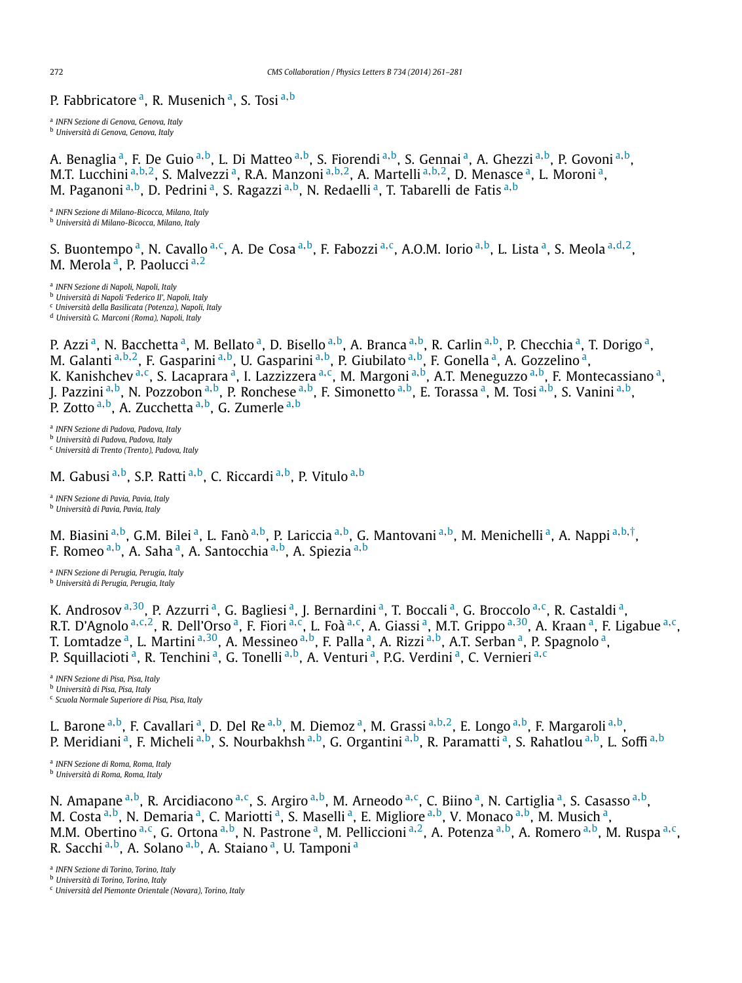## P. Fabbricatore a, R. Musenich a, S. Tosi <sup>a</sup>*,*<sup>b</sup>

<sup>a</sup> *INFN Sezione di Genova, Genova, Italy* <sup>b</sup> *Università di Genova, Genova, Italy*

A. Benaglia a, F. De Guio <sup>a</sup>*,*b, L. Di Matteo <sup>a</sup>*,*b, S. Fiorendi <sup>a</sup>*,*b, S. Gennai a, A. Ghezzi <sup>a</sup>*,*b, P. Govoni <sup>a</sup>*,*b, M.T. Lucchini <sup>a</sup>*,*b*,*[2,](#page-19-0) S. Malvezzi a, R.A. Manzoni <sup>a</sup>*,*b*,*[2,](#page-19-0) A. Martelli <sup>a</sup>*,*b*,*[2,](#page-19-0) D. Menasce a, L. Moroni a, M. Paganoni<sup>a, b</sup>, D. Pedrini<sup>a</sup>, S. Ragazzi<sup>a, b</sup>, N. Redaelli<sup>a</sup>, T. Tabarelli de Fatis<sup>a, b</sup>

<sup>a</sup> *INFN Sezione di Milano-Bicocca, Milano, Italy* <sup>b</sup> *Università di Milano-Bicocca, Milano, Italy*

S. Buontempo a, N. Cavallo <sup>a</sup>*,*c, A. De Cosa <sup>a</sup>*,*b, F. Fabozzi <sup>a</sup>*,*c, A.O.M. Iorio <sup>a</sup>*,*b, L. Lista a, S. Meola <sup>a</sup>*,*d*,*[2,](#page-19-0) M. Merola <sup>a</sup>, P. Paolucci<sup>a, [2](#page-19-0)</sup>

<sup>a</sup> *INFN Sezione di Napoli, Napoli, Italy*

<sup>b</sup> *Università di Napoli 'Federico II', Napoli, Italy*

<sup>c</sup> *Università della Basilicata (Potenza), Napoli, Italy*

<sup>d</sup> *Università G. Marconi (Roma), Napoli, Italy*

P. Azzi<sup>a</sup>, N. Bacchetta<sup>a</sup>, M. Bellato<sup>a</sup>, D. Bisello<sup>a,b</sup>, A. Branca<sup>a,b</sup>, R. Carlin<sup>a,b</sup>, P. Checchia<sup>a</sup>, T. Dorigo<sup>a</sup>, M. Galanti <sup>a</sup>*,*b*,*[2,](#page-19-0) F. Gasparini <sup>a</sup>*,*b, U. Gasparini <sup>a</sup>*,*b, P. Giubilato <sup>a</sup>*,*b, F. Gonella a, A. Gozzelino a, K. Kanishchev <sup>a</sup>*,*c, S. Lacaprara a, I. Lazzizzera <sup>a</sup>*,*c, M. Margoni <sup>a</sup>*,*b, A.T. Meneguzzo <sup>a</sup>*,*b, F. Montecassiano a, J. Pazzini <sup>a</sup>*,*b, N. Pozzobon <sup>a</sup>*,*b, P. Ronchese <sup>a</sup>*,*b, F. Simonetto <sup>a</sup>*,*b, E. Torassa a, M. Tosi <sup>a</sup>*,*b, S. Vanini <sup>a</sup>*,*b, P. Zotto <sup>a</sup>*,*b, A. Zucchetta <sup>a</sup>*,*b, G. Zumerle <sup>a</sup>*,*<sup>b</sup>

<sup>a</sup> *INFN Sezione di Padova, Padova, Italy*

<sup>b</sup> *Università di Padova, Padova, Italy*

<sup>c</sup> *Università di Trento (Trento), Padova, Italy*

M. Gabusi <sup>a</sup>*,*b, S.P. Ratti <sup>a</sup>*,*b, C. Riccardi <sup>a</sup>*,*b, P. Vitulo <sup>a</sup>*,*<sup>b</sup>

<sup>a</sup> *INFN Sezione di Pavia, Pavia, Italy* <sup>b</sup> *Università di Pavia, Pavia, Italy*

M. Biasini <sup>a</sup>*,*b, G.M. Bilei a, L. Fanò <sup>a</sup>*,*b, P. Lariccia <sup>a</sup>*,*b, G. Mantovani <sup>a</sup>*,*b, M. Menichelli a, A. Nappi <sup>a</sup>*,*b*,*[†,](#page-19-0) F. Romeo <sup>a</sup>*,*b, A. Saha a, A. Santocchia <sup>a</sup>*,*b, A. Spiezia <sup>a</sup>*,*<sup>b</sup>

<sup>a</sup> *INFN Sezione di Perugia, Perugia, Italy* <sup>b</sup> *Università di Perugia, Perugia, Italy*

K. Androsov<sup>a, 30</sup>, P. Azzurri<sup>a</sup>, G. Bagliesi<sup>a</sup>, J. Bernardini<sup>a</sup>, T. Boccali<sup>a</sup>, G. Broccolo<sup>a, c</sup>, R. Castaldi<sup>a</sup>, R.T. D'Agnolo <sup>a</sup>*,*c*,*[2,](#page-19-0) R. Dell'Orso a, F. Fiori <sup>a</sup>*,*c, L. Foà <sup>a</sup>*,*c, A. Giassi a, M.T. Grippo <sup>a</sup>*,*[30,](#page-20-0) A. Kraan a, F. Ligabue <sup>a</sup>*,*c, T. Lomtadze<sup>a</sup>, L. Martini<sup>a, 30</sup>, A. Messineo a, b, F. Palla <sup>a</sup>, A. Rizzi a, b, A.T. Serban <sup>a</sup>, P. Spagnolo <sup>a</sup>, P. Squillacioti<sup>a</sup>, R. Tenchini<sup>a</sup>, G. Tonelli<sup>a, b</sup>, A. Venturi<sup>a</sup>, P.G. Verdini<sup>a</sup>, C. Vernieri<sup>a, c</sup>

<sup>a</sup> *INFN Sezione di Pisa, Pisa, Italy*

<sup>b</sup> *Università di Pisa, Pisa, Italy*

<sup>c</sup> *Scuola Normale Superiore di Pisa, Pisa, Italy*

L. Barone <sup>a</sup>*,*b, F. Cavallari a, D. Del Re <sup>a</sup>*,*b, M. Diemoz a, M. Grassi <sup>a</sup>*,*b*,*[2](#page-19-0), E. Longo <sup>a</sup>*,*b, F. Margaroli <sup>a</sup>*,*b, P. Meridiani a, F. Micheli <sup>a</sup>*,*b, S. Nourbakhsh <sup>a</sup>*,*b, G. Organtini <sup>a</sup>*,*b, R. Paramatti a, S. Rahatlou <sup>a</sup>*,*b, L. Soffi <sup>a</sup>*,*<sup>b</sup>

<sup>a</sup> *INFN Sezione di Roma, Roma, Italy* <sup>b</sup> *Università di Roma, Roma, Italy*

N. Amapane <sup>a</sup>*,*b, R. Arcidiacono <sup>a</sup>*,*c, S. Argiro <sup>a</sup>*,*b, M. Arneodo <sup>a</sup>*,*c, C. Biino a, N. Cartiglia a, S. Casasso <sup>a</sup>*,*b, M. Costa a, b, N. Demaria <sup>a</sup>, C. Mariotti <sup>a</sup>, S. Maselli <sup>a</sup>, E. Migliore <sup>a, b</sup>, V. Monaco <sup>a, b</sup>, M. Musich <sup>a</sup>, M.M. Obertino <sup>a</sup>*,*c, G. Ortona <sup>a</sup>*,*b, N. Pastrone a, M. Pelliccioni <sup>a</sup>*,*[2,](#page-19-0) A. Potenza <sup>a</sup>*,*b, A. Romero <sup>a</sup>*,*b, M. Ruspa <sup>a</sup>*,*c, R. Sacchi a, b, A. Solano a, b, A. Staiano a, U. Tamponi a

<sup>a</sup> *INFN Sezione di Torino, Torino, Italy*

<sup>b</sup> *Università di Torino, Torino, Italy*

<sup>c</sup> *Università del Piemonte Orientale (Novara), Torino, Italy*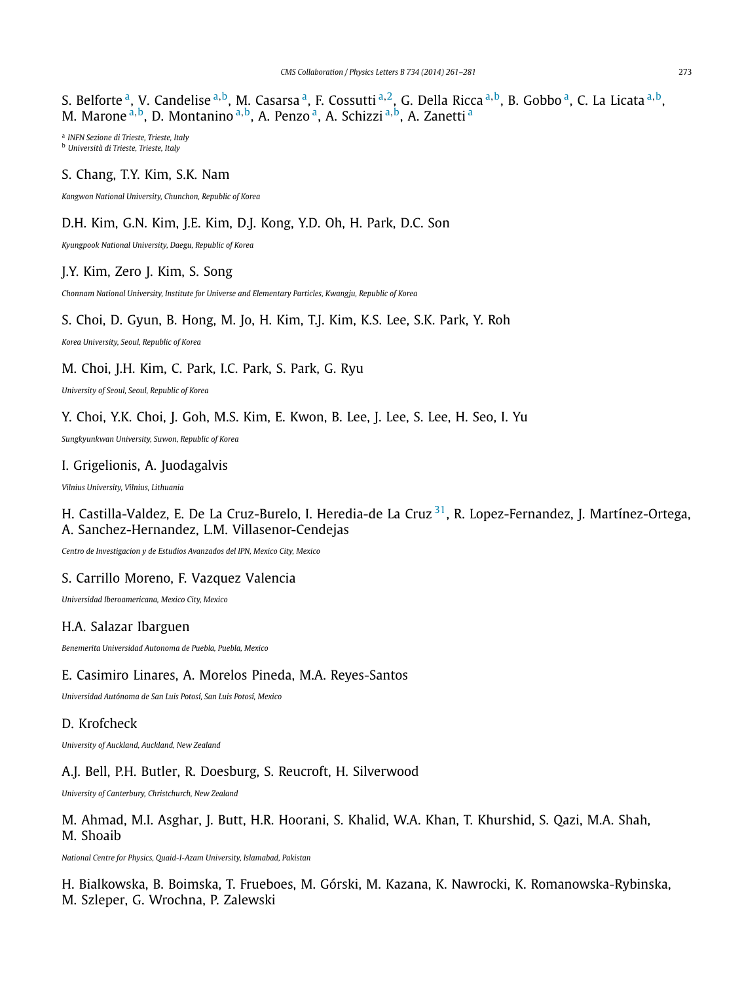S. Belforte a, V. Candelise <sup>a</sup>*,*b, M. Casarsa a, F. Cossutti <sup>a</sup>*,*[2,](#page-19-0) G. Della Ricca <sup>a</sup>*,*b, B. Gobbo a, C. La Licata <sup>a</sup>*,*b, M. Marone <sup>a</sup>*,*b, D. Montanino <sup>a</sup>*,*b, A. Penzo a, A. Schizzi <sup>a</sup>*,*b, A. Zanetti <sup>a</sup>

<sup>a</sup> *INFN Sezione di Trieste, Trieste, Italy* <sup>b</sup> *Università di Trieste, Trieste, Italy*

## S. Chang, T.Y. Kim, S.K. Nam

*Kangwon National University, Chunchon, Republic of Korea*

## D.H. Kim, G.N. Kim, J.E. Kim, D.J. Kong, Y.D. Oh, H. Park, D.C. Son

*Kyungpook National University, Daegu, Republic of Korea*

## J.Y. Kim, Zero J. Kim, S. Song

*Chonnam National University, Institute for Universe and Elementary Particles, Kwangju, Republic of Korea*

#### S. Choi, D. Gyun, B. Hong, M. Jo, H. Kim, T.J. Kim, K.S. Lee, S.K. Park, Y. Roh

*Korea University, Seoul, Republic of Korea*

## M. Choi, J.H. Kim, C. Park, I.C. Park, S. Park, G. Ryu

*University of Seoul, Seoul, Republic of Korea*

## Y. Choi, Y.K. Choi, J. Goh, M.S. Kim, E. Kwon, B. Lee, J. Lee, S. Lee, H. Seo, I. Yu

*Sungkyunkwan University, Suwon, Republic of Korea*

## I. Grigelionis, A. Juodagalvis

*Vilnius University, Vilnius, Lithuania*

# H. Castilla-Valdez, E. De La Cruz-Burelo, I. Heredia-de La Cruz<sup>31</sup>, R. Lopez-Fernandez, J. Martínez-Ortega, A. Sanchez-Hernandez, L.M. Villasenor-Cendejas

*Centro de Investigacion y de Estudios Avanzados del IPN, Mexico City, Mexico*

## S. Carrillo Moreno, F. Vazquez Valencia

*Universidad Iberoamericana, Mexico City, Mexico*

#### H.A. Salazar Ibarguen

*Benemerita Universidad Autonoma de Puebla, Puebla, Mexico*

## E. Casimiro Linares, A. Morelos Pineda, M.A. Reyes-Santos

*Universidad Autónoma de San Luis Potosí, San Luis Potosí, Mexico*

## D. Krofcheck

*University of Auckland, Auckland, New Zealand*

## A.J. Bell, P.H. Butler, R. Doesburg, S. Reucroft, H. Silverwood

*University of Canterbury, Christchurch, New Zealand*

# M. Ahmad, M.I. Asghar, J. Butt, H.R. Hoorani, S. Khalid, W.A. Khan, T. Khurshid, S. Qazi, M.A. Shah, M. Shoaib

*National Centre for Physics, Quaid-I-Azam University, Islamabad, Pakistan*

H. Bialkowska, B. Boimska, T. Frueboes, M. Górski, M. Kazana, K. Nawrocki, K. Romanowska-Rybinska, M. Szleper, G. Wrochna, P. Zalewski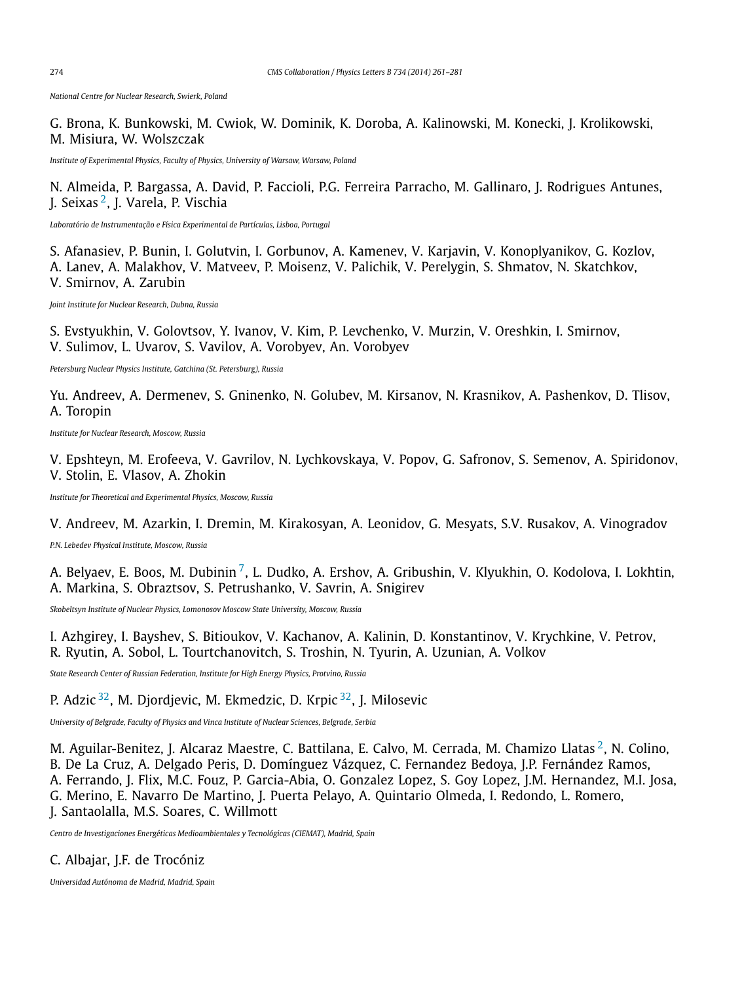*National Centre for Nuclear Research, Swierk, Poland*

G. Brona, K. Bunkowski, M. Cwiok, W. Dominik, K. Doroba, A. Kalinowski, M. Konecki, J. Krolikowski, M. Misiura, W. Wolszczak

*Institute of Experimental Physics, Faculty of Physics, University of Warsaw, Warsaw, Poland*

N. Almeida, P. Bargassa, A. David, P. Faccioli, P.G. Ferreira Parracho, M. Gallinaro, J. Rodrigues Antunes, J. Seixas [2,](#page-19-0) J. Varela, P. Vischia

*Laboratório de Instrumentação e Física Experimental de Partículas, Lisboa, Portugal*

S. Afanasiev, P. Bunin, I. Golutvin, I. Gorbunov, A. Kamenev, V. Karjavin, V. Konoplyanikov, G. Kozlov, A. Lanev, A. Malakhov, V. Matveev, P. Moisenz, V. Palichik, V. Perelygin, S. Shmatov, N. Skatchkov, V. Smirnov, A. Zarubin

*Joint Institute for Nuclear Research, Dubna, Russia*

S. Evstyukhin, V. Golovtsov, Y. Ivanov, V. Kim, P. Levchenko, V. Murzin, V. Oreshkin, I. Smirnov, V. Sulimov, L. Uvarov, S. Vavilov, A. Vorobyev, An. Vorobyev

*Petersburg Nuclear Physics Institute, Gatchina (St. Petersburg), Russia*

Yu. Andreev, A. Dermenev, S. Gninenko, N. Golubev, M. Kirsanov, N. Krasnikov, A. Pashenkov, D. Tlisov, A. Toropin

*Institute for Nuclear Research, Moscow, Russia*

V. Epshteyn, M. Erofeeva, V. Gavrilov, N. Lychkovskaya, V. Popov, G. Safronov, S. Semenov, A. Spiridonov, V. Stolin, E. Vlasov, A. Zhokin

*Institute for Theoretical and Experimental Physics, Moscow, Russia*

V. Andreev, M. Azarkin, I. Dremin, M. Kirakosyan, A. Leonidov, G. Mesyats, S.V. Rusakov, A. Vinogradov

*P.N. Lebedev Physical Institute, Moscow, Russia*

A. Belyaev, E. Boos, M. Dubinin [7,](#page-19-0) L. Dudko, A. Ershov, A. Gribushin, V. Klyukhin, O. Kodolova, I. Lokhtin, A. Markina, S. Obraztsov, S. Petrushanko, V. Savrin, A. Snigirev

*Skobeltsyn Institute of Nuclear Physics, Lomonosov Moscow State University, Moscow, Russia*

I. Azhgirey, I. Bayshev, S. Bitioukov, V. Kachanov, A. Kalinin, D. Konstantinov, V. Krychkine, V. Petrov, R. Ryutin, A. Sobol, L. Tourtchanovitch, S. Troshin, N. Tyurin, A. Uzunian, A. Volkov

*State Research Center of Russian Federation, Institute for High Energy Physics, Protvino, Russia*

P. Adzic<sup>32</sup>, M. Djordjevic, M. Ekmedzic, D. Krpic<sup>32</sup>, J. Milosevic

*University of Belgrade, Faculty of Physics and Vinca Institute of Nuclear Sciences, Belgrade, Serbia*

M. Aguilar-Benitez, J. Alcaraz Maestre, C. Battilana, E. Calvo, M. Cerrada, M. Chamizo Llatas<sup>2</sup>, N. Colino, B. De La Cruz, A. Delgado Peris, D. Domínguez Vázquez, C. Fernandez Bedoya, J.P. Fernández Ramos, A. Ferrando, J. Flix, M.C. Fouz, P. Garcia-Abia, O. Gonzalez Lopez, S. Goy Lopez, J.M. Hernandez, M.I. Josa, G. Merino, E. Navarro De Martino, J. Puerta Pelayo, A. Quintario Olmeda, I. Redondo, L. Romero, J. Santaolalla, M.S. Soares, C. Willmott

*Centro de Investigaciones Energéticas Medioambientales y Tecnológicas (CIEMAT), Madrid, Spain*

C. Albajar, J.F. de Trocóniz

*Universidad Autónoma de Madrid, Madrid, Spain*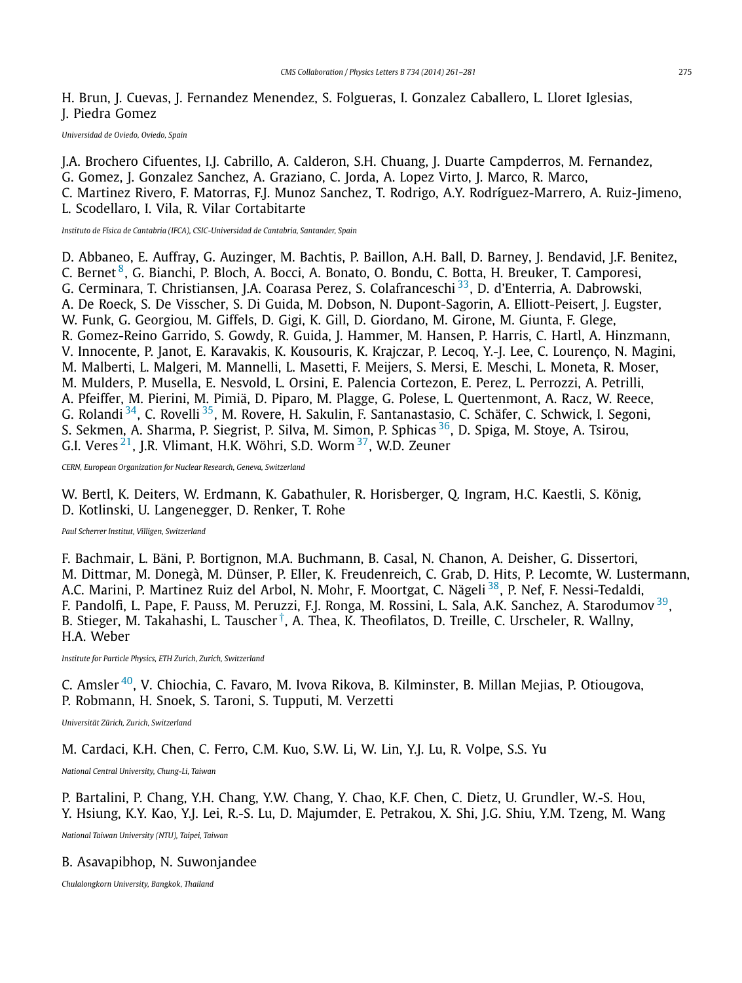*Universidad de Oviedo, Oviedo, Spain*

J.A. Brochero Cifuentes, I.J. Cabrillo, A. Calderon, S.H. Chuang, J. Duarte Campderros, M. Fernandez, G. Gomez, J. Gonzalez Sanchez, A. Graziano, C. Jorda, A. Lopez Virto, J. Marco, R. Marco, C. Martinez Rivero, F. Matorras, F.J. Munoz Sanchez, T. Rodrigo, A.Y. Rodríguez-Marrero, A. Ruiz-Jimeno, L. Scodellaro, I. Vila, R. Vilar Cortabitarte

*Instituto de Física de Cantabria (IFCA), CSIC-Universidad de Cantabria, Santander, Spain*

D. Abbaneo, E. Auffray, G. Auzinger, M. Bachtis, P. Baillon, A.H. Ball, D. Barney, J. Bendavid, J.F. Benitez, C. Bernet [8,](#page-19-0) G. Bianchi, P. Bloch, A. Bocci, A. Bonato, O. Bondu, C. Botta, H. Breuker, T. Camporesi, G. Cerminara, T. Christiansen, J.A. Coarasa Perez, S. Colafranceschi [33,](#page-20-0) D. d'Enterria, A. Dabrowski, A. De Roeck, S. De Visscher, S. Di Guida, M. Dobson, N. Dupont-Sagorin, A. Elliott-Peisert, J. Eugster, W. Funk, G. Georgiou, M. Giffels, D. Gigi, K. Gill, D. Giordano, M. Girone, M. Giunta, F. Glege, R. Gomez-Reino Garrido, S. Gowdy, R. Guida, J. Hammer, M. Hansen, P. Harris, C. Hartl, A. Hinzmann, V. Innocente, P. Janot, E. Karavakis, K. Kousouris, K. Krajczar, P. Lecoq, Y.-J. Lee, C. Lourenço, N. Magini, M. Malberti, L. Malgeri, M. Mannelli, L. Masetti, F. Meijers, S. Mersi, E. Meschi, L. Moneta, R. Moser, M. Mulders, P. Musella, E. Nesvold, L. Orsini, E. Palencia Cortezon, E. Perez, L. Perrozzi, A. Petrilli, A. Pfeiffer, M. Pierini, M. Pimiä, D. Piparo, M. Plagge, G. Polese, L. Quertenmont, A. Racz, W. Reece, G. Rolandi [34,](#page-20-0) C. Rovelli [35,](#page-20-0) M. Rovere, H. Sakulin, F. Santanastasio, C. Schäfer, C. Schwick, I. Segoni, S. Sekmen, A. Sharma, P. Siegrist, P. Silva, M. Simon, P. Sphicas [36,](#page-20-0) D. Spiga, M. Stoye, A. Tsirou, G.I. Veres [21,](#page-20-0) J.R. Vlimant, H.K. Wöhri, S.D. Worm [37](#page-20-0), W.D. Zeuner

*CERN, European Organization for Nuclear Research, Geneva, Switzerland*

W. Bertl, K. Deiters, W. Erdmann, K. Gabathuler, R. Horisberger, Q. Ingram, H.C. Kaestli, S. König, D. Kotlinski, U. Langenegger, D. Renker, T. Rohe

*Paul Scherrer Institut, Villigen, Switzerland*

F. Bachmair, L. Bäni, P. Bortignon, M.A. Buchmann, B. Casal, N. Chanon, A. Deisher, G. Dissertori, M. Dittmar, M. Donegà, M. Dünser, P. Eller, K. Freudenreich, C. Grab, D. Hits, P. Lecomte, W. Lustermann, A.C. Marini, P. Martinez Ruiz del Arbol, N. Mohr, F. Moortgat, C. Nägeli [38](#page-20-0), P. Nef, F. Nessi-Tedaldi, F. Pandolfi, L. Pape, F. Pauss, M. Peruzzi, F.J. Ronga, M. Rossini, L. Sala, A.K. Sanchez, A. Starodumov [39,](#page-20-0) B. Stieger, M. Takahashi, L. Tauscher [†,](#page-19-0) A. Thea, K. Theofilatos, D. Treille, C. Urscheler, R. Wallny, H.A. Weber

*Institute for Particle Physics, ETH Zurich, Zurich, Switzerland*

C. Amsler [40,](#page-20-0) V. Chiochia, C. Favaro, M. Ivova Rikova, B. Kilminster, B. Millan Mejias, P. Otiougova, P. Robmann, H. Snoek, S. Taroni, S. Tupputi, M. Verzetti

*Universität Zürich, Zurich, Switzerland*

M. Cardaci, K.H. Chen, C. Ferro, C.M. Kuo, S.W. Li, W. Lin, Y.J. Lu, R. Volpe, S.S. Yu

*National Central University, Chung-Li, Taiwan*

P. Bartalini, P. Chang, Y.H. Chang, Y.W. Chang, Y. Chao, K.F. Chen, C. Dietz, U. Grundler, W.-S. Hou, Y. Hsiung, K.Y. Kao, Y.J. Lei, R.-S. Lu, D. Majumder, E. Petrakou, X. Shi, J.G. Shiu, Y.M. Tzeng, M. Wang

*National Taiwan University (NTU), Taipei, Taiwan*

## B. Asavapibhop, N. Suwonjandee

*Chulalongkorn University, Bangkok, Thailand*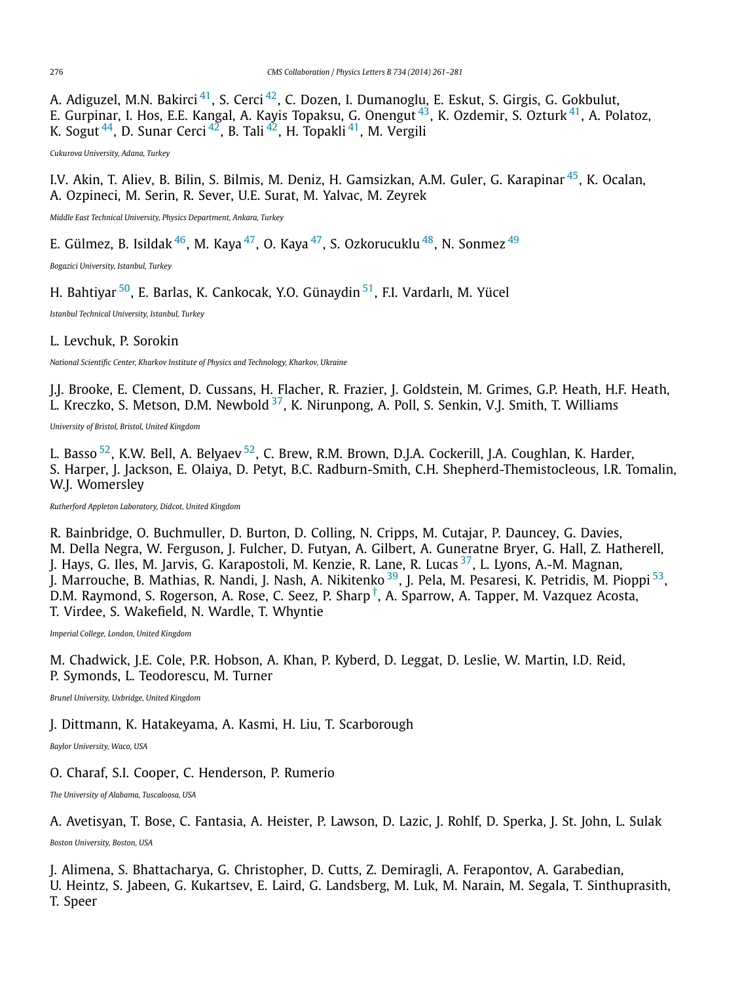A. Adiguzel, M.N. Bakirci<sup>41</sup>, S. Cerci<sup>42</sup>, C. Dozen, I. Dumanoglu, E. Eskut, S. Girgis, G. Gokbulut, E. Gurpinar, I. Hos, E.E. Kangal, A. Kayis Topaksu, G. Onengut [43,](#page-20-0) K. Ozdemir, S. Ozturk [41](#page-20-0), A. Polatoz, K. Sogut  $^{44}$ , D. Sunar Cerci  $^{42}$ , B. Tali  $^{42}$ , H. Topakli  $^{41}$ , M. Vergili

*Cukurova University, Adana, Turkey*

I.V. Akin, T. Aliev, B. Bilin, S. Bilmis, M. Deniz, H. Gamsizkan, A.M. Guler, G. Karapinar [45,](#page-20-0) K. Ocalan, A. Ozpineci, M. Serin, R. Sever, U.E. Surat, M. Yalvac, M. Zeyrek

*Middle East Technical University, Physics Department, Ankara, Turkey*

E. Gülmez, B. Isildak  $46$ , M. Kaya  $47$ , O. Kaya  $47$ , S. Ozkorucuklu  $48$ , N. Sonmez  $49$ 

*Bogazici University, Istanbul, Turkey*

H. Bahtiyar [50,](#page-20-0) E. Barlas, K. Cankocak, Y.O. Günaydin [51,](#page-20-0) F.I. Vardarlı, M. Yücel

*Istanbul Technical University, Istanbul, Turkey*

L. Levchuk, P. Sorokin

*National Scientific Center, Kharkov Institute of Physics and Technology, Kharkov, Ukraine*

J.J. Brooke, E. Clement, D. Cussans, H. Flacher, R. Frazier, J. Goldstein, M. Grimes, G.P. Heath, H.F. Heath, L. Kreczko, S. Metson, D.M. Newbold [37,](#page-20-0) K. Nirunpong, A. Poll, S. Senkin, V.J. Smith, T. Williams

*University of Bristol, Bristol, United Kingdom*

L. Basso <sup>52</sup>, K.W. Bell, A. Belyaev <sup>52</sup>, C. Brew, R.M. Brown, D.J.A. Cockerill, J.A. Coughlan, K. Harder, S. Harper, J. Jackson, E. Olaiya, D. Petyt, B.C. Radburn-Smith, C.H. Shepherd-Themistocleous, I.R. Tomalin, W.J. Womersley

*Rutherford Appleton Laboratory, Didcot, United Kingdom*

R. Bainbridge, O. Buchmuller, D. Burton, D. Colling, N. Cripps, M. Cutajar, P. Dauncey, G. Davies, M. Della Negra, W. Ferguson, J. Fulcher, D. Futyan, A. Gilbert, A. Guneratne Bryer, G. Hall, Z. Hatherell, J. Hays, G. Iles, M. Jarvis, G. Karapostoli, M. Kenzie, R. Lane, R. Lucas [37,](#page-20-0) L. Lyons, A.-M. Magnan, J. Marrouche, B. Mathias, R. Nandi, J. Nash, A. Nikitenko [39,](#page-20-0) J. Pela, M. Pesaresi, K. Petridis, M. Pioppi [53,](#page-20-0) D.M. Raymond, S. Rogerson, A. Rose, C. Seez, P. Sharp [†,](#page-19-0) A. Sparrow, A. Tapper, M. Vazquez Acosta, T. Virdee, S. Wakefield, N. Wardle, T. Whyntie

*Imperial College, London, United Kingdom*

M. Chadwick, J.E. Cole, P.R. Hobson, A. Khan, P. Kyberd, D. Leggat, D. Leslie, W. Martin, I.D. Reid, P. Symonds, L. Teodorescu, M. Turner

*Brunel University, Uxbridge, United Kingdom*

J. Dittmann, K. Hatakeyama, A. Kasmi, H. Liu, T. Scarborough

*Baylor University, Waco, USA*

## O. Charaf, S.I. Cooper, C. Henderson, P. Rumerio

*The University of Alabama, Tuscaloosa, USA*

A. Avetisyan, T. Bose, C. Fantasia, A. Heister, P. Lawson, D. Lazic, J. Rohlf, D. Sperka, J. St. John, L. Sulak

*Boston University, Boston, USA*

J. Alimena, S. Bhattacharya, G. Christopher, D. Cutts, Z. Demiragli, A. Ferapontov, A. Garabedian, U. Heintz, S. Jabeen, G. Kukartsev, E. Laird, G. Landsberg, M. Luk, M. Narain, M. Segala, T. Sinthuprasith, T. Speer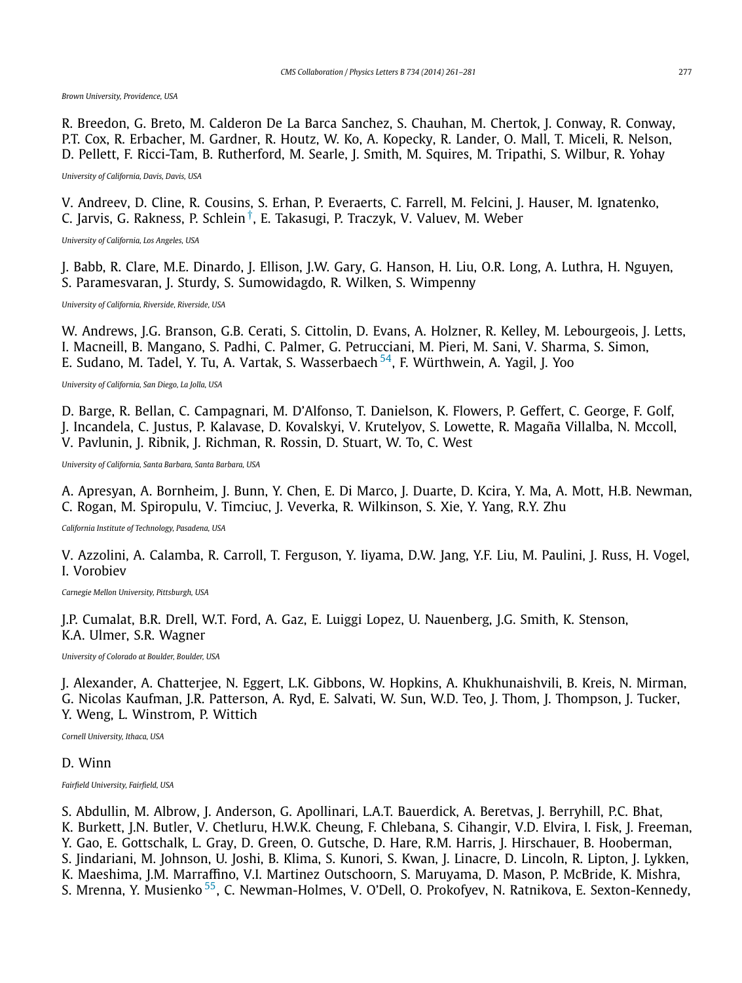*Brown University, Providence, USA*

R. Breedon, G. Breto, M. Calderon De La Barca Sanchez, S. Chauhan, M. Chertok, J. Conway, R. Conway, P.T. Cox, R. Erbacher, M. Gardner, R. Houtz, W. Ko, A. Kopecky, R. Lander, O. Mall, T. Miceli, R. Nelson, D. Pellett, F. Ricci-Tam, B. Rutherford, M. Searle, J. Smith, M. Squires, M. Tripathi, S. Wilbur, R. Yohay

*University of California, Davis, Davis, USA*

V. Andreev, D. Cline, R. Cousins, S. Erhan, P. Everaerts, C. Farrell, M. Felcini, J. Hauser, M. Ignatenko, C. Jarvis, G. Rakness, P. Schlein  $^{\dagger}$ , E. Takasugi, P. Traczyk, V. Valuev, M. Weber

*University of California, Los Angeles, USA*

J. Babb, R. Clare, M.E. Dinardo, J. Ellison, J.W. Gary, G. Hanson, H. Liu, O.R. Long, A. Luthra, H. Nguyen, S. Paramesvaran, J. Sturdy, S. Sumowidagdo, R. Wilken, S. Wimpenny

*University of California, Riverside, Riverside, USA*

W. Andrews, J.G. Branson, G.B. Cerati, S. Cittolin, D. Evans, A. Holzner, R. Kelley, M. Lebourgeois, J. Letts, I. Macneill, B. Mangano, S. Padhi, C. Palmer, G. Petrucciani, M. Pieri, M. Sani, V. Sharma, S. Simon, E. Sudano, M. Tadel, Y. Tu, A. Vartak, S. Wasserbaech <sup>[54](#page-20-0)</sup>, F. Würthwein, A. Yagil, J. Yoo

*University of California, San Diego, La Jolla, USA*

D. Barge, R. Bellan, C. Campagnari, M. D'Alfonso, T. Danielson, K. Flowers, P. Geffert, C. George, F. Golf, J. Incandela, C. Justus, P. Kalavase, D. Kovalskyi, V. Krutelyov, S. Lowette, R. Magaña Villalba, N. Mccoll, V. Pavlunin, J. Ribnik, J. Richman, R. Rossin, D. Stuart, W. To, C. West

*University of California, Santa Barbara, Santa Barbara, USA*

A. Apresyan, A. Bornheim, J. Bunn, Y. Chen, E. Di Marco, J. Duarte, D. Kcira, Y. Ma, A. Mott, H.B. Newman, C. Rogan, M. Spiropulu, V. Timciuc, J. Veverka, R. Wilkinson, S. Xie, Y. Yang, R.Y. Zhu

*California Institute of Technology, Pasadena, USA*

V. Azzolini, A. Calamba, R. Carroll, T. Ferguson, Y. Iiyama, D.W. Jang, Y.F. Liu, M. Paulini, J. Russ, H. Vogel, I. Vorobiev

*Carnegie Mellon University, Pittsburgh, USA*

J.P. Cumalat, B.R. Drell, W.T. Ford, A. Gaz, E. Luiggi Lopez, U. Nauenberg, J.G. Smith, K. Stenson, K.A. Ulmer, S.R. Wagner

*University of Colorado at Boulder, Boulder, USA*

J. Alexander, A. Chatterjee, N. Eggert, L.K. Gibbons, W. Hopkins, A. Khukhunaishvili, B. Kreis, N. Mirman, G. Nicolas Kaufman, J.R. Patterson, A. Ryd, E. Salvati, W. Sun, W.D. Teo, J. Thom, J. Thompson, J. Tucker, Y. Weng, L. Winstrom, P. Wittich

*Cornell University, Ithaca, USA*

## D. Winn

*Fairfield University, Fairfield, USA*

S. Abdullin, M. Albrow, J. Anderson, G. Apollinari, L.A.T. Bauerdick, A. Beretvas, J. Berryhill, P.C. Bhat, K. Burkett, J.N. Butler, V. Chetluru, H.W.K. Cheung, F. Chlebana, S. Cihangir, V.D. Elvira, I. Fisk, J. Freeman, Y. Gao, E. Gottschalk, L. Gray, D. Green, O. Gutsche, D. Hare, R.M. Harris, J. Hirschauer, B. Hooberman, S. Jindariani, M. Johnson, U. Joshi, B. Klima, S. Kunori, S. Kwan, J. Linacre, D. Lincoln, R. Lipton, J. Lykken, K. Maeshima, J.M. Marraffino, V.I. Martinez Outschoorn, S. Maruyama, D. Mason, P. McBride, K. Mishra, S. Mrenna, Y. Musienko [55,](#page-20-0) C. Newman-Holmes, V. O'Dell, O. Prokofyev, N. Ratnikova, E. Sexton-Kennedy,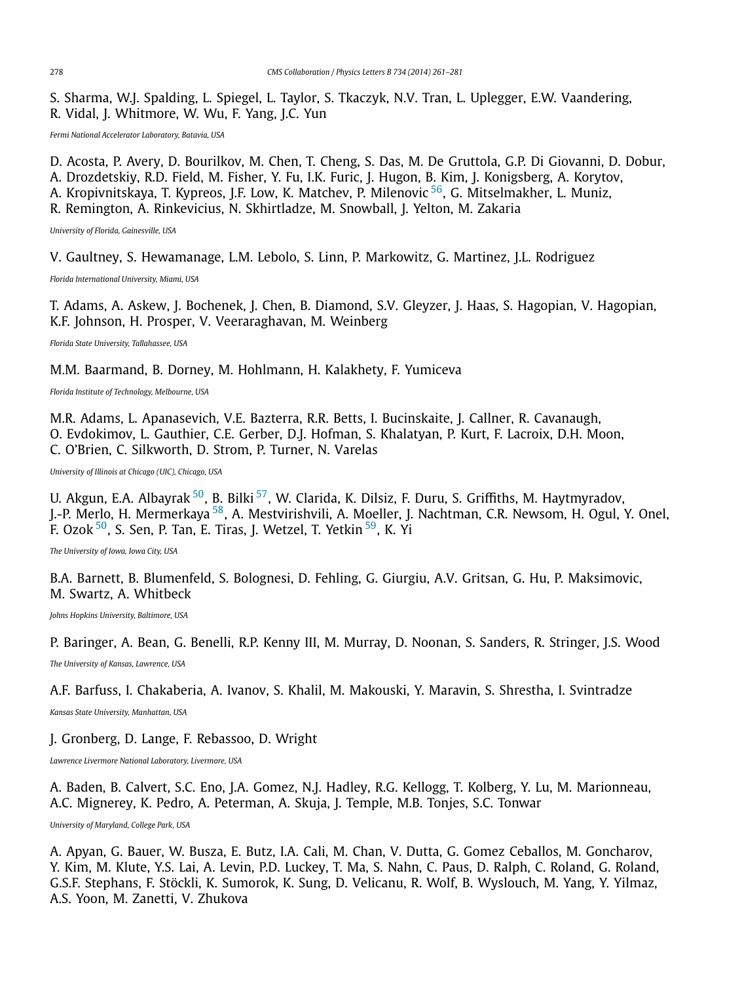S. Sharma, W.J. Spalding, L. Spiegel, L. Taylor, S. Tkaczyk, N.V. Tran, L. Uplegger, E.W. Vaandering, R. Vidal, J. Whitmore, W. Wu, F. Yang, J.C. Yun

*Fermi National Accelerator Laboratory, Batavia, USA*

D. Acosta, P. Avery, D. Bourilkov, M. Chen, T. Cheng, S. Das, M. De Gruttola, G.P. Di Giovanni, D. Dobur, A. Drozdetskiy, R.D. Field, M. Fisher, Y. Fu, I.K. Furic, J. Hugon, B. Kim, J. Konigsberg, A. Korytov, A. Kropivnitskaya, T. Kypreos, J.F. Low, K. Matchev, P. Milenovic [56,](#page-20-0) G. Mitselmakher, L. Muniz, R. Remington, A. Rinkevicius, N. Skhirtladze, M. Snowball, J. Yelton, M. Zakaria

*University of Florida, Gainesville, USA*

V. Gaultney, S. Hewamanage, L.M. Lebolo, S. Linn, P. Markowitz, G. Martinez, J.L. Rodriguez

*Florida International University, Miami, USA*

T. Adams, A. Askew, J. Bochenek, J. Chen, B. Diamond, S.V. Gleyzer, J. Haas, S. Hagopian, V. Hagopian, K.F. Johnson, H. Prosper, V. Veeraraghavan, M. Weinberg

*Florida State University, Tallahassee, USA*

#### M.M. Baarmand, B. Dorney, M. Hohlmann, H. Kalakhety, F. Yumiceva

*Florida Institute of Technology, Melbourne, USA*

M.R. Adams, L. Apanasevich, V.E. Bazterra, R.R. Betts, I. Bucinskaite, J. Callner, R. Cavanaugh, O. Evdokimov, L. Gauthier, C.E. Gerber, D.J. Hofman, S. Khalatyan, P. Kurt, F. Lacroix, D.H. Moon, C. O'Brien, C. Silkworth, D. Strom, P. Turner, N. Varelas

*University of Illinois at Chicago (UIC), Chicago, USA*

U. Akgun, E.A. Albayrak <sup>50</sup>, B. Bilki <sup>57</sup>, W. Clarida, K. Dilsiz, F. Duru, S. Griffiths, M. Haytmyradov, J.-P. Merlo, H. Mermerkaya [58,](#page-20-0) A. Mestvirishvili, A. Moeller, J. Nachtman, C.R. Newsom, H. Ogul, Y. Onel, F. Ozok [50,](#page-20-0) S. Sen, P. Tan, E. Tiras, J. Wetzel, T. Yetkin [59,](#page-20-0) K. Yi

*The University of Iowa, Iowa City, USA*

B.A. Barnett, B. Blumenfeld, S. Bolognesi, D. Fehling, G. Giurgiu, A.V. Gritsan, G. Hu, P. Maksimovic, M. Swartz, A. Whitbeck

*Johns Hopkins University, Baltimore, USA*

P. Baringer, A. Bean, G. Benelli, R.P. Kenny III, M. Murray, D. Noonan, S. Sanders, R. Stringer, J.S. Wood

*The University of Kansas, Lawrence, USA*

A.F. Barfuss, I. Chakaberia, A. Ivanov, S. Khalil, M. Makouski, Y. Maravin, S. Shrestha, I. Svintradze

*Kansas State University, Manhattan, USA*

J. Gronberg, D. Lange, F. Rebassoo, D. Wright

*Lawrence Livermore National Laboratory, Livermore, USA*

A. Baden, B. Calvert, S.C. Eno, J.A. Gomez, N.J. Hadley, R.G. Kellogg, T. Kolberg, Y. Lu, M. Marionneau, A.C. Mignerey, K. Pedro, A. Peterman, A. Skuja, J. Temple, M.B. Tonjes, S.C. Tonwar

*University of Maryland, College Park, USA*

A. Apyan, G. Bauer, W. Busza, E. Butz, I.A. Cali, M. Chan, V. Dutta, G. Gomez Ceballos, M. Goncharov, Y. Kim, M. Klute, Y.S. Lai, A. Levin, P.D. Luckey, T. Ma, S. Nahn, C. Paus, D. Ralph, C. Roland, G. Roland, G.S.F. Stephans, F. Stöckli, K. Sumorok, K. Sung, D. Velicanu, R. Wolf, B. Wyslouch, M. Yang, Y. Yilmaz, A.S. Yoon, M. Zanetti, V. Zhukova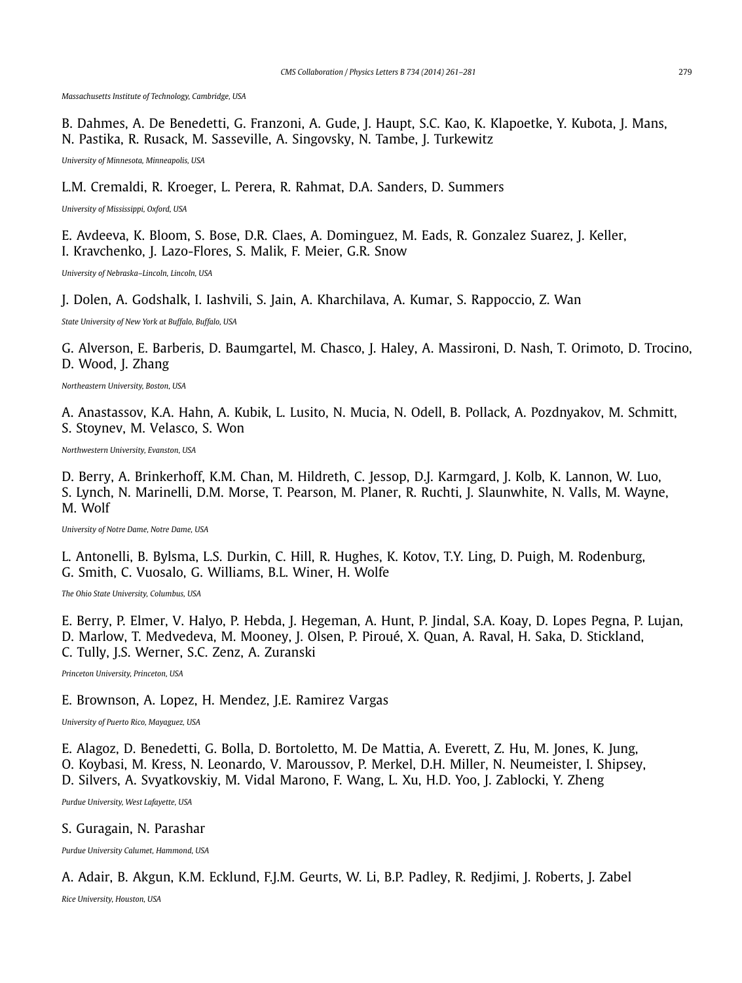*Massachusetts Institute of Technology, Cambridge, USA*

B. Dahmes, A. De Benedetti, G. Franzoni, A. Gude, J. Haupt, S.C. Kao, K. Klapoetke, Y. Kubota, J. Mans, N. Pastika, R. Rusack, M. Sasseville, A. Singovsky, N. Tambe, J. Turkewitz

*University of Minnesota, Minneapolis, USA*

## L.M. Cremaldi, R. Kroeger, L. Perera, R. Rahmat, D.A. Sanders, D. Summers

*University of Mississippi, Oxford, USA*

E. Avdeeva, K. Bloom, S. Bose, D.R. Claes, A. Dominguez, M. Eads, R. Gonzalez Suarez, J. Keller, I. Kravchenko, J. Lazo-Flores, S. Malik, F. Meier, G.R. Snow

*University of Nebraska–Lincoln, Lincoln, USA*

J. Dolen, A. Godshalk, I. Iashvili, S. Jain, A. Kharchilava, A. Kumar, S. Rappoccio, Z. Wan

*State University of New York at Buffalo, Buffalo, USA*

G. Alverson, E. Barberis, D. Baumgartel, M. Chasco, J. Haley, A. Massironi, D. Nash, T. Orimoto, D. Trocino, D. Wood, J. Zhang

*Northeastern University, Boston, USA*

A. Anastassov, K.A. Hahn, A. Kubik, L. Lusito, N. Mucia, N. Odell, B. Pollack, A. Pozdnyakov, M. Schmitt, S. Stoynev, M. Velasco, S. Won

*Northwestern University, Evanston, USA*

D. Berry, A. Brinkerhoff, K.M. Chan, M. Hildreth, C. Jessop, D.J. Karmgard, J. Kolb, K. Lannon, W. Luo, S. Lynch, N. Marinelli, D.M. Morse, T. Pearson, M. Planer, R. Ruchti, J. Slaunwhite, N. Valls, M. Wayne, M. Wolf

*University of Notre Dame, Notre Dame, USA*

L. Antonelli, B. Bylsma, L.S. Durkin, C. Hill, R. Hughes, K. Kotov, T.Y. Ling, D. Puigh, M. Rodenburg, G. Smith, C. Vuosalo, G. Williams, B.L. Winer, H. Wolfe

*The Ohio State University, Columbus, USA*

E. Berry, P. Elmer, V. Halyo, P. Hebda, J. Hegeman, A. Hunt, P. Jindal, S.A. Koay, D. Lopes Pegna, P. Lujan, D. Marlow, T. Medvedeva, M. Mooney, J. Olsen, P. Piroué, X. Quan, A. Raval, H. Saka, D. Stickland, C. Tully, J.S. Werner, S.C. Zenz, A. Zuranski

*Princeton University, Princeton, USA*

## E. Brownson, A. Lopez, H. Mendez, J.E. Ramirez Vargas

*University of Puerto Rico, Mayaguez, USA*

E. Alagoz, D. Benedetti, G. Bolla, D. Bortoletto, M. De Mattia, A. Everett, Z. Hu, M. Jones, K. Jung, O. Koybasi, M. Kress, N. Leonardo, V. Maroussov, P. Merkel, D.H. Miller, N. Neumeister, I. Shipsey, D. Silvers, A. Svyatkovskiy, M. Vidal Marono, F. Wang, L. Xu, H.D. Yoo, J. Zablocki, Y. Zheng

*Purdue University, West Lafayette, USA*

#### S. Guragain, N. Parashar

*Purdue University Calumet, Hammond, USA*

A. Adair, B. Akgun, K.M. Ecklund, F.J.M. Geurts, W. Li, B.P. Padley, R. Redjimi, J. Roberts, J. Zabel

*Rice University, Houston, USA*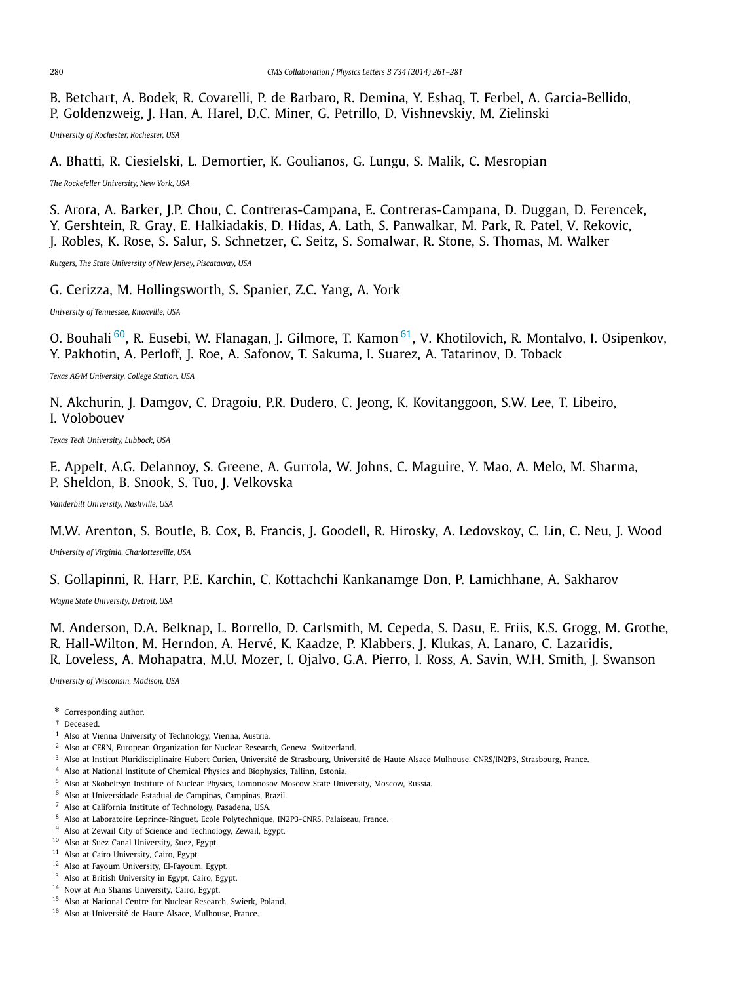<span id="page-19-0"></span>B. Betchart, A. Bodek, R. Covarelli, P. de Barbaro, R. Demina, Y. Eshaq, T. Ferbel, A. Garcia-Bellido, P. Goldenzweig, J. Han, A. Harel, D.C. Miner, G. Petrillo, D. Vishnevskiy, M. Zielinski

*University of Rochester, Rochester, USA*

A. Bhatti, R. Ciesielski, L. Demortier, K. Goulianos, G. Lungu, S. Malik, C. Mesropian

*The Rockefeller University, New York, USA*

S. Arora, A. Barker, J.P. Chou, C. Contreras-Campana, E. Contreras-Campana, D. Duggan, D. Ferencek, Y. Gershtein, R. Gray, E. Halkiadakis, D. Hidas, A. Lath, S. Panwalkar, M. Park, R. Patel, V. Rekovic, J. Robles, K. Rose, S. Salur, S. Schnetzer, C. Seitz, S. Somalwar, R. Stone, S. Thomas, M. Walker

*Rutgers, The State University of New Jersey, Piscataway, USA*

G. Cerizza, M. Hollingsworth, S. Spanier, Z.C. Yang, A. York

*University of Tennessee, Knoxville, USA*

O. Bouhali <sup>60</sup>, R. Eusebi, W. Flanagan, J. Gilmore, T. Kamon <sup>61</sup>, V. Khotilovich, R. Montalvo, I. Osipenkov, Y. Pakhotin, A. Perloff, J. Roe, A. Safonov, T. Sakuma, I. Suarez, A. Tatarinov, D. Toback

*Texas A&M University, College Station, USA*

N. Akchurin, J. Damgov, C. Dragoiu, P.R. Dudero, C. Jeong, K. Kovitanggoon, S.W. Lee, T. Libeiro, I. Volobouev

*Texas Tech University, Lubbock, USA*

E. Appelt, A.G. Delannoy, S. Greene, A. Gurrola, W. Johns, C. Maguire, Y. Mao, A. Melo, M. Sharma, P. Sheldon, B. Snook, S. Tuo, J. Velkovska

*Vanderbilt University, Nashville, USA*

M.W. Arenton, S. Boutle, B. Cox, B. Francis, J. Goodell, R. Hirosky, A. Ledovskoy, C. Lin, C. Neu, J. Wood

*University of Virginia, Charlottesville, USA*

S. Gollapinni, R. Harr, P.E. Karchin, C. Kottachchi Kankanamge Don, P. Lamichhane, A. Sakharov

*Wayne State University, Detroit, USA*

M. Anderson, D.A. Belknap, L. Borrello, D. Carlsmith, M. Cepeda, S. Dasu, E. Friis, K.S. Grogg, M. Grothe, R. Hall-Wilton, M. Herndon, A. Hervé, K. Kaadze, P. Klabbers, J. Klukas, A. Lanaro, C. Lazaridis, R. Loveless, A. Mohapatra, M.U. Mozer, I. Ojalvo, G.A. Pierro, I. Ross, A. Savin, W.H. Smith, J. Swanson

*University of Wisconsin, Madison, USA*

\* Corresponding author.

- † Deceased.
- $1$  Also at Vienna University of Technology, Vienna, Austria.
- <sup>2</sup> Also at CERN, European Organization for Nuclear Research, Geneva, Switzerland.
- <sup>3</sup> Also at Institut Pluridisciplinaire Hubert Curien, Université de Strasbourg, Université de Haute Alsace Mulhouse, CNRS/IN2P3, Strasbourg, France.
- <sup>4</sup> Also at National Institute of Chemical Physics and Biophysics, Tallinn, Estonia.
- <sup>5</sup> Also at Skobeltsyn Institute of Nuclear Physics, Lomonosov Moscow State University, Moscow, Russia.
- <sup>6</sup> Also at Universidade Estadual de Campinas, Campinas, Brazil.
- <sup>7</sup> Also at California Institute of Technology, Pasadena, USA.
- <sup>8</sup> Also at Laboratoire Leprince-Ringuet, Ecole Polytechnique, IN2P3-CNRS, Palaiseau, France.
- <sup>9</sup> Also at Zewail City of Science and Technology, Zewail, Egypt.
- <sup>10</sup> Also at Suez Canal University, Suez, Egypt.
- <sup>11</sup> Also at Cairo University, Cairo, Egypt.
- <sup>12</sup> Also at Fayoum University, El-Fayoum, Egypt.
- <sup>13</sup> Also at British University in Egypt, Cairo, Egypt.
- <sup>14</sup> Now at Ain Shams University, Cairo, Egypt.
- <sup>15</sup> Also at National Centre for Nuclear Research, Swierk, Poland.
- <sup>16</sup> Also at Université de Haute Alsace, Mulhouse, France.